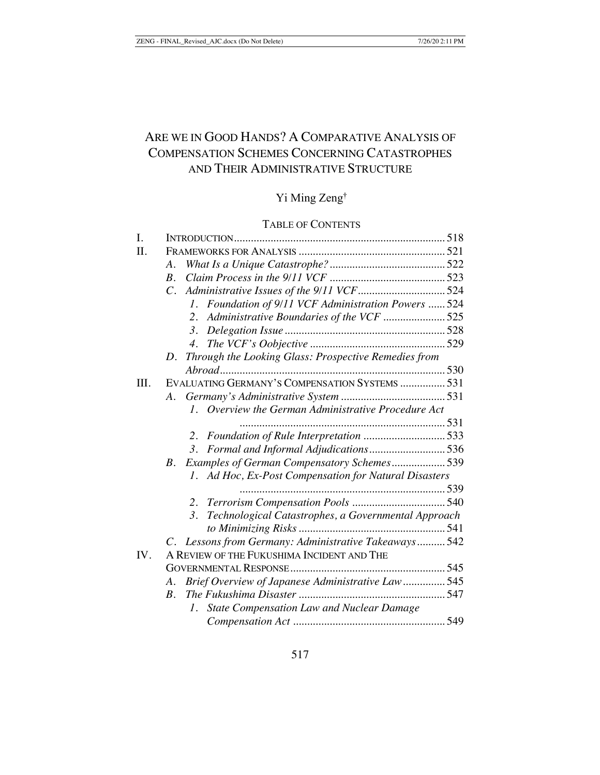# ARE WE IN GOOD HANDS? A COMPARATIVE ANALYSIS OF COMPENSATION SCHEMES CONCERNING CATASTROPHES AND THEIR ADMINISTRATIVE STRUCTURE

# Yi Ming Zeng†

# TABLE OF CONTENTS

| Foundation of 9/11 VCF Administration Powers  524<br>Administrative Boundaries of the VCF 525<br>Through the Looking Glass: Prospective Remedies from |
|-------------------------------------------------------------------------------------------------------------------------------------------------------|
|                                                                                                                                                       |
|                                                                                                                                                       |
|                                                                                                                                                       |
|                                                                                                                                                       |
|                                                                                                                                                       |
|                                                                                                                                                       |
|                                                                                                                                                       |
|                                                                                                                                                       |
|                                                                                                                                                       |
|                                                                                                                                                       |
| EVALUATING GERMANY'S COMPENSATION SYSTEMS  531                                                                                                        |
|                                                                                                                                                       |
| 1. Overview the German Administrative Procedure Act                                                                                                   |
|                                                                                                                                                       |
| Foundation of Rule Interpretation 533                                                                                                                 |
| Formal and Informal Adjudications536                                                                                                                  |
| Examples of German Compensatory Schemes 539                                                                                                           |
| Ad Hoc, Ex-Post Compensation for Natural Disasters                                                                                                    |
|                                                                                                                                                       |
|                                                                                                                                                       |
| Technological Catastrophes, a Governmental Approach                                                                                                   |
|                                                                                                                                                       |
| C. Lessons from Germany: Administrative Takeaways 542                                                                                                 |
|                                                                                                                                                       |
|                                                                                                                                                       |
| Brief Overview of Japanese Administrative Law 545                                                                                                     |
|                                                                                                                                                       |
| <b>State Compensation Law and Nuclear Damage</b>                                                                                                      |
|                                                                                                                                                       |
|                                                                                                                                                       |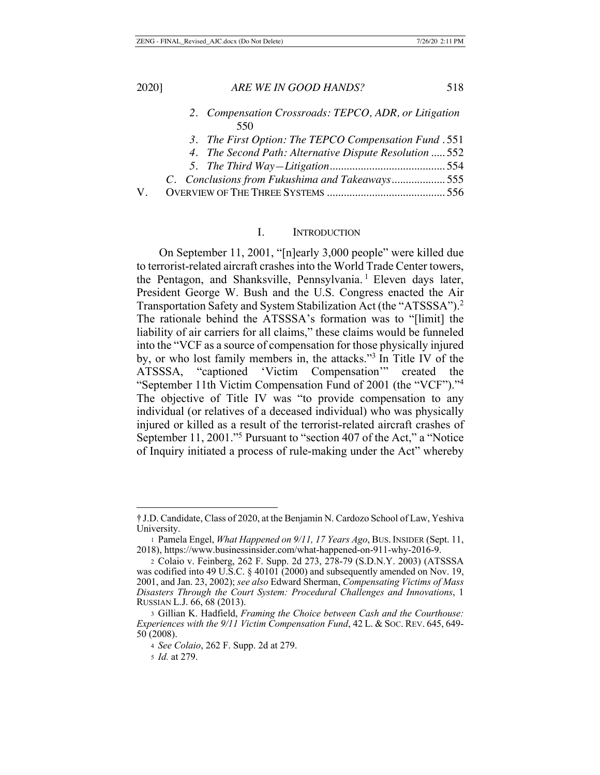- *2. Compensation Crossroads: TEPCO, ADR, or Litigation* 550
- *3. The First Option: The TEPCO Compensation Fund* . 551
- *4. The Second Path: Alternative Dispute Resolution* ..... 552
- *5. The Third Way—Litigation*......................................... 554
- *C. Conclusions from Fukushima and Takeaways*................... 555

|--|--|--|--|--|

# I. INTRODUCTION

On September 11, 2001, "[n]early 3,000 people" were killed due to terrorist-related aircraft crashes into the World Trade Center towers, the Pentagon, and Shanksville, Pennsylvania.<sup>1</sup> Eleven days later, President George W. Bush and the U.S. Congress enacted the Air Transportation Safety and System Stabilization Act (the "ATSSSA").2 The rationale behind the ATSSSA's formation was to "[limit] the liability of air carriers for all claims," these claims would be funneled into the "VCF as a source of compensation for those physically injured by, or who lost family members in, the attacks."3 In Title IV of the ATSSSA, "captioned 'Victim Compensation'" created the "September 11th Victim Compensation Fund of 2001 (the "VCF")."4 The objective of Title IV was "to provide compensation to any individual (or relatives of a deceased individual) who was physically injured or killed as a result of the terrorist-related aircraft crashes of September 11, 2001."5 Pursuant to "section 407 of the Act," a "Notice of Inquiry initiated a process of rule-making under the Act" whereby

<sup>†</sup> J.D. Candidate, Class of 2020, at the Benjamin N. Cardozo School of Law, Yeshiva University.

<sup>1</sup> Pamela Engel, *What Happened on 9/11, 17 Years Ago*, BUS. INSIDER (Sept. 11, 2018), https://www.businessinsider.com/what-happened-on-911-why-2016-9.

<sup>2</sup> Colaio v. Feinberg, 262 F. Supp. 2d 273, 278-79 (S.D.N.Y. 2003) (ATSSSA was codified into 49 U.S.C. § 40101 (2000) and subsequently amended on Nov. 19, 2001, and Jan. 23, 2002); *see also* Edward Sherman, *Compensating Victims of Mass Disasters Through the Court System: Procedural Challenges and Innovations*, 1 RUSSIAN L.J. 66, 68 (2013).

<sup>3</sup> Gillian K. Hadfield, *Framing the Choice between Cash and the Courthouse: Experiences with the 9/11 Victim Compensation Fund*, 42 L. & SOC. REV. 645, 649- 50 (2008).

<sup>4</sup> *See Colaio*, 262 F. Supp. 2d at 279.

<sup>5</sup> *Id.* at 279.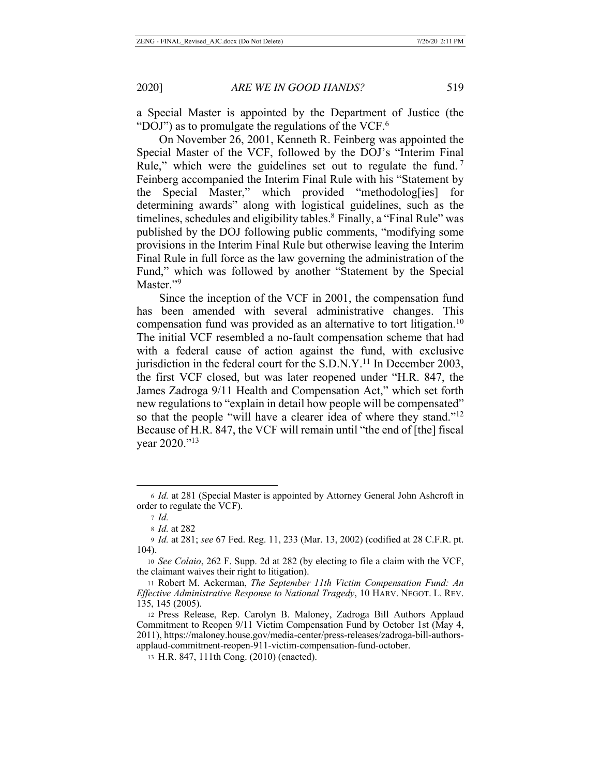a Special Master is appointed by the Department of Justice (the "DOJ") as to promulgate the regulations of the VCF. $<sup>6</sup>$ </sup>

On November 26, 2001, Kenneth R. Feinberg was appointed the Special Master of the VCF, followed by the DOJ's "Interim Final Rule," which were the guidelines set out to regulate the fund.<sup>7</sup> Feinberg accompanied the Interim Final Rule with his "Statement by the Special Master," which provided "methodolog[ies] for determining awards" along with logistical guidelines, such as the timelines, schedules and eligibility tables.<sup>8</sup> Finally, a "Final Rule" was published by the DOJ following public comments, "modifying some provisions in the Interim Final Rule but otherwise leaving the Interim Final Rule in full force as the law governing the administration of the Fund," which was followed by another "Statement by the Special Master."<sup>9</sup>

Since the inception of the VCF in 2001, the compensation fund has been amended with several administrative changes. This compensation fund was provided as an alternative to tort litigation.10 The initial VCF resembled a no-fault compensation scheme that had with a federal cause of action against the fund, with exclusive jurisdiction in the federal court for the S.D.N.Y.<sup>11</sup> In December 2003, the first VCF closed, but was later reopened under "H.R. 847, the James Zadroga 9/11 Health and Compensation Act," which set forth new regulations to "explain in detail how people will be compensated" so that the people "will have a clearer idea of where they stand."<sup>12</sup> Because of H.R. 847, the VCF will remain until "the end of [the] fiscal year 2020."13

<sup>6</sup> *Id.* at 281 (Special Master is appointed by Attorney General John Ashcroft in order to regulate the VCF).

<sup>7</sup> *Id.*

<sup>8</sup> *Id.* at 282

<sup>9</sup> *Id.* at 281; *see* 67 Fed. Reg. 11, 233 (Mar. 13, 2002) (codified at 28 C.F.R. pt. 104).

<sup>10</sup> *See Colaio*, 262 F. Supp. 2d at 282 (by electing to file a claim with the VCF, the claimant waives their right to litigation).

<sup>11</sup> Robert M. Ackerman, *The September 11th Victim Compensation Fund: An Effective Administrative Response to National Tragedy*, 10 HARV. NEGOT. L. REV. 135, 145 (2005).

<sup>12</sup> Press Release, Rep. Carolyn B. Maloney, Zadroga Bill Authors Applaud Commitment to Reopen 9/11 Victim Compensation Fund by October 1st (May 4, 2011), https://maloney.house.gov/media-center/press-releases/zadroga-bill-authorsapplaud-commitment-reopen-911-victim-compensation-fund-october.

<sup>13</sup> H.R. 847, 111th Cong. (2010) (enacted).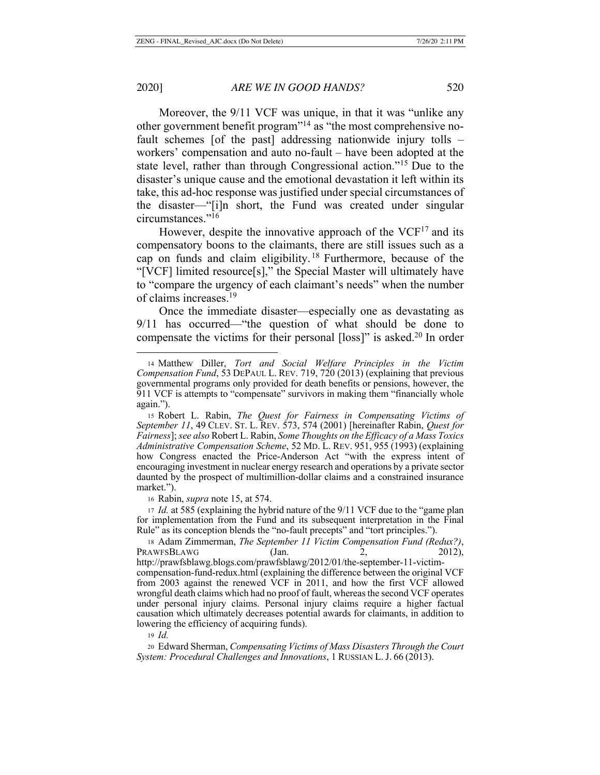Moreover, the 9/11 VCF was unique, in that it was "unlike any other government benefit program"14 as "the most comprehensive nofault schemes [of the past] addressing nationwide injury tolls – workers' compensation and auto no-fault – have been adopted at the state level, rather than through Congressional action."15 Due to the disaster's unique cause and the emotional devastation it left within its take, this ad-hoc response was justified under special circumstances of the disaster—"[i]n short, the Fund was created under singular circumstances."16

However, despite the innovative approach of the  $VCF<sup>17</sup>$  and its compensatory boons to the claimants, there are still issues such as a cap on funds and claim eligibility. 18 Furthermore, because of the "[VCF] limited resource[s]," the Special Master will ultimately have to "compare the urgency of each claimant's needs" when the number of claims increases.19

Once the immediate disaster—especially one as devastating as 9/11 has occurred—"the question of what should be done to compensate the victims for their personal [loss]" is asked.20 In order

<sup>16</sup> Rabin, *supra* note 15, at 574.

<sup>17</sup> *Id.* at 585 (explaining the hybrid nature of the 9/11 VCF due to the "game plan for implementation from the Fund and its subsequent interpretation in the Final Rule" as its conception blends the "no-fault precepts" and "tort principles.").

<sup>19</sup> *Id.*

<sup>20</sup> Edward Sherman, *Compensating Victims of Mass Disasters Through the Court System: Procedural Challenges and Innovations*, 1 RUSSIAN L. J. 66 (2013).

<sup>14</sup> Matthew Diller, *Tort and Social Welfare Principles in the Victim Compensation Fund*, 53 DEPAUL L. REV. 719, 720 (2013) (explaining that previous governmental programs only provided for death benefits or pensions, however, the 911 VCF is attempts to "compensate" survivors in making them "financially whole again.").

<sup>15</sup> Robert L. Rabin, *The Quest for Fairness in Compensating Victims of September 11*, 49 CLEV. ST. L. REV. 573, 574 (2001) [hereinafter Rabin, *Quest for Fairness*];*see also* Robert L. Rabin, *Some Thoughts on the Efficacy of a Mass Toxics Administrative Compensation Scheme*, 52 MD. L. REV. 951, 955 (1993) (explaining how Congress enacted the Price-Anderson Act "with the express intent of encouraging investment in nuclear energy research and operations by a private sector daunted by the prospect of multimillion-dollar claims and a constrained insurance market.").

<sup>18</sup> Adam Zimmerman, *The September 11 Victim Compensation Fund (Redux?)*, PRAWFSBLAWG (Jan. 2, 2012), http://prawfsblawg.blogs.com/prawfsblawg/2012/01/the-september-11-victimcompensation-fund-redux.html (explaining the difference between the original VCF from 2003 against the renewed VCF in 2011, and how the first VCF allowed wrongful death claims which had no proof of fault, whereas the second VCF operates under personal injury claims. Personal injury claims require a higher factual causation which ultimately decreases potential awards for claimants, in addition to lowering the efficiency of acquiring funds).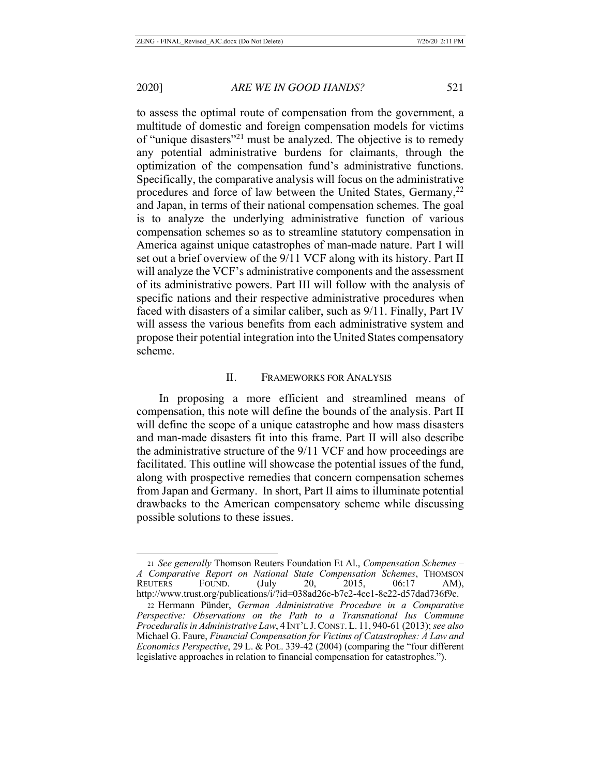to assess the optimal route of compensation from the government, a multitude of domestic and foreign compensation models for victims of "unique disasters"21 must be analyzed. The objective is to remedy any potential administrative burdens for claimants, through the optimization of the compensation fund's administrative functions. Specifically, the comparative analysis will focus on the administrative procedures and force of law between the United States, Germany,  $2^2$ and Japan, in terms of their national compensation schemes. The goal is to analyze the underlying administrative function of various compensation schemes so as to streamline statutory compensation in America against unique catastrophes of man-made nature. Part I will set out a brief overview of the 9/11 VCF along with its history. Part II will analyze the VCF's administrative components and the assessment of its administrative powers. Part III will follow with the analysis of specific nations and their respective administrative procedures when faced with disasters of a similar caliber, such as 9/11. Finally, Part IV will assess the various benefits from each administrative system and propose their potential integration into the United States compensatory scheme.

# II. FRAMEWORKS FOR ANALYSIS

In proposing a more efficient and streamlined means of compensation, this note will define the bounds of the analysis. Part II will define the scope of a unique catastrophe and how mass disasters and man-made disasters fit into this frame. Part II will also describe the administrative structure of the 9/11 VCF and how proceedings are facilitated. This outline will showcase the potential issues of the fund, along with prospective remedies that concern compensation schemes from Japan and Germany. In short, Part II aims to illuminate potential drawbacks to the American compensatory scheme while discussing possible solutions to these issues.

<sup>21</sup> *See generally* Thomson Reuters Foundation Et Al., *Compensation Schemes – A Comparative Report on National State Compensation Schemes*, THOMSON REUTERS FOUND. (July 20, 2015, 06:17 AM), http://www.trust.org/publications/i/?id=038ad26c-b7c2-4ce1-8e22-d57dad736f9c.

<sup>22</sup> Hermann Pünder, *German Administrative Procedure in a Comparative Perspective: Observations on the Path to a Transnational Ius Commune Proceduralis in Administrative Law*, 4 INT'L J.CONST. L. 11, 940-61 (2013); *see also*  Michael G. Faure, *Financial Compensation for Victims of Catastrophes: A Law and Economics Perspective*, 29 L. & POL. 339-42 (2004) (comparing the "four different legislative approaches in relation to financial compensation for catastrophes.").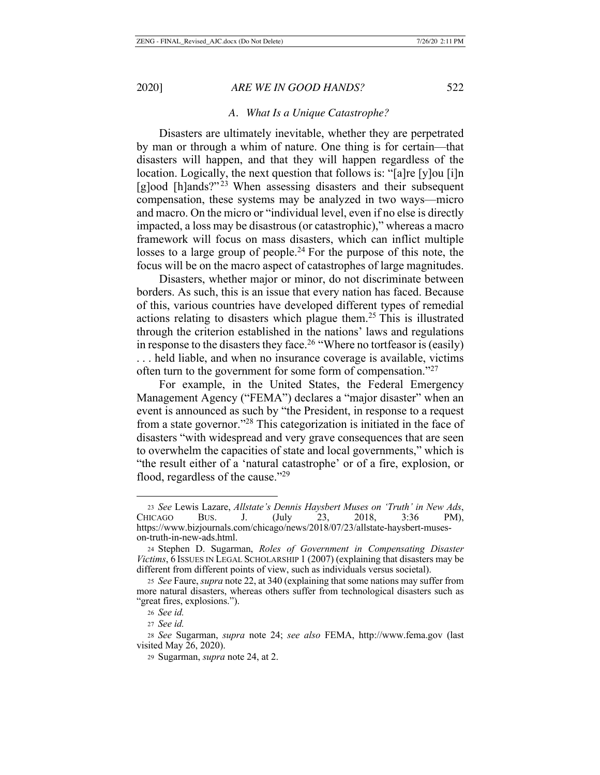### *A. What Is a Unique Catastrophe?*

Disasters are ultimately inevitable, whether they are perpetrated by man or through a whim of nature. One thing is for certain—that disasters will happen, and that they will happen regardless of the location. Logically, the next question that follows is: "[a]re [y]ou [i]n [g]ood [h]ands?"<sup>23</sup> When assessing disasters and their subsequent compensation, these systems may be analyzed in two ways—micro and macro. On the micro or "individual level, even if no else is directly impacted, a loss may be disastrous (or catastrophic)," whereas a macro framework will focus on mass disasters, which can inflict multiple losses to a large group of people.<sup>24</sup> For the purpose of this note, the focus will be on the macro aspect of catastrophes of large magnitudes.

Disasters, whether major or minor, do not discriminate between borders. As such, this is an issue that every nation has faced. Because of this, various countries have developed different types of remedial actions relating to disasters which plague them.25 This is illustrated through the criterion established in the nations' laws and regulations in response to the disasters they face.<sup>26</sup> "Where no tortfeasor is (easily) . . . held liable, and when no insurance coverage is available, victims often turn to the government for some form of compensation."<sup>27</sup>

For example, in the United States, the Federal Emergency Management Agency ("FEMA") declares a "major disaster" when an event is announced as such by "the President, in response to a request from a state governor."28 This categorization is initiated in the face of disasters "with widespread and very grave consequences that are seen to overwhelm the capacities of state and local governments," which is "the result either of a 'natural catastrophe' or of a fire, explosion, or flood, regardless of the cause."<sup>29</sup>

<sup>23</sup> *See* Lewis Lazare, *Allstate's Dennis Haysbert Muses on 'Truth' in New Ads*, CHICAGO BUS. J. (July 23, 2018, 3:36 PM), https://www.bizjournals.com/chicago/news/2018/07/23/allstate-haysbert-museson-truth-in-new-ads.html.

<sup>24</sup> Stephen D. Sugarman, *Roles of Government in Compensating Disaster Victims*, 6 ISSUES IN LEGAL SCHOLARSHIP 1 (2007) (explaining that disasters may be different from different points of view, such as individuals versus societal).

<sup>25</sup> *See* Faure, *supra* note 22, at 340 (explaining that some nations may suffer from more natural disasters, whereas others suffer from technological disasters such as "great fires, explosions.").

<sup>26</sup> *See id.*

<sup>27</sup> *See id.*

<sup>28</sup> *See* Sugarman, *supra* note 24; *see also* FEMA, http://www.fema.gov (last visited May 26, 2020).

<sup>29</sup> Sugarman, *supra* note 24, at 2.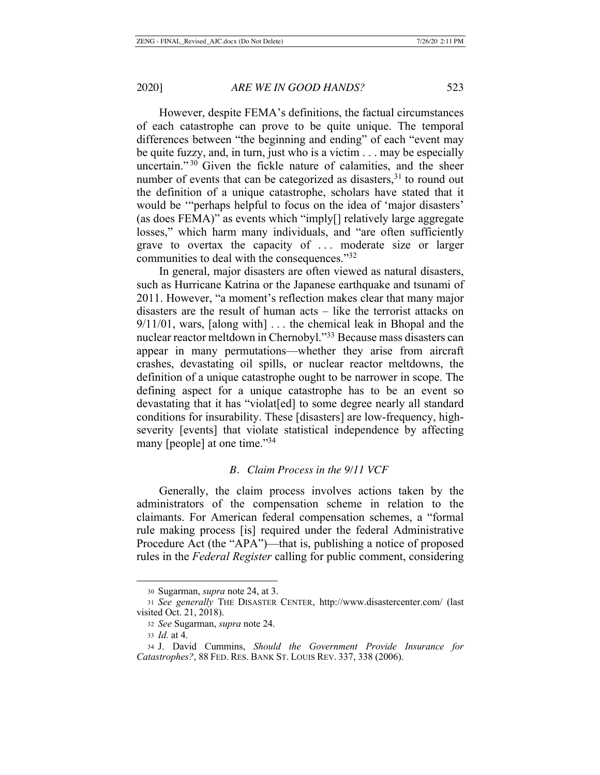However, despite FEMA's definitions, the factual circumstances of each catastrophe can prove to be quite unique. The temporal differences between "the beginning and ending" of each "event may be quite fuzzy, and, in turn, just who is a victim . . . may be especially uncertain."<sup>30</sup> Given the fickle nature of calamities, and the sheer number of events that can be categorized as disasters, $31$  to round out the definition of a unique catastrophe, scholars have stated that it would be '"perhaps helpful to focus on the idea of 'major disasters' (as does FEMA)" as events which "imply[] relatively large aggregate losses," which harm many individuals, and "are often sufficiently grave to overtax the capacity of . . . moderate size or larger communities to deal with the consequences."32

In general, major disasters are often viewed as natural disasters, such as Hurricane Katrina or the Japanese earthquake and tsunami of 2011. However, "a moment's reflection makes clear that many major disasters are the result of human acts – like the terrorist attacks on 9/11/01, wars, [along with] . . . the chemical leak in Bhopal and the nuclear reactor meltdown in Chernobyl."33 Because mass disasters can appear in many permutations—whether they arise from aircraft crashes, devastating oil spills, or nuclear reactor meltdowns, the definition of a unique catastrophe ought to be narrower in scope. The defining aspect for a unique catastrophe has to be an event so devastating that it has "violat[ed] to some degree nearly all standard conditions for insurability. These [disasters] are low-frequency, highseverity [events] that violate statistical independence by affecting many [people] at one time."34

### *B. Claim Process in the 9/11 VCF*

Generally, the claim process involves actions taken by the administrators of the compensation scheme in relation to the claimants. For American federal compensation schemes, a "formal rule making process [is] required under the federal Administrative Procedure Act (the "APA")—that is, publishing a notice of proposed rules in the *Federal Register* calling for public comment, considering

<sup>30</sup> Sugarman, *supra* note 24, at 3.

<sup>31</sup> *See generally* THE DISASTER CENTER, http://www.disastercenter.com/ (last visited Oct. 21, 2018).

<sup>32</sup> *See* Sugarman, *supra* note 24.

<sup>33</sup> *Id.* at 4.

<sup>34</sup> J. David Cummins, *Should the Government Provide Insurance for Catastrophes?*, 88 FED. RES. BANK ST. LOUIS REV. 337, 338 (2006).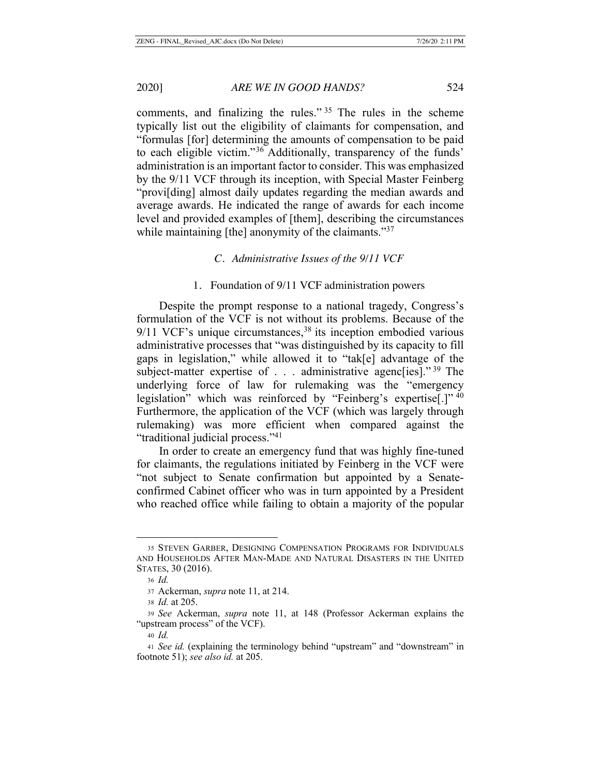comments, and finalizing the rules." 35 The rules in the scheme typically list out the eligibility of claimants for compensation, and "formulas [for] determining the amounts of compensation to be paid to each eligible victim."36 Additionally, transparency of the funds' administration is an important factor to consider. This was emphasized by the 9/11 VCF through its inception, with Special Master Feinberg "provi[ding] almost daily updates regarding the median awards and average awards. He indicated the range of awards for each income level and provided examples of [them], describing the circumstances while maintaining [the] anonymity of the claimants."<sup>37</sup>

#### *C. Administrative Issues of the 9/11 VCF*

### 1. Foundation of 9/11 VCF administration powers

Despite the prompt response to a national tragedy, Congress's formulation of the VCF is not without its problems. Because of the  $9/11$  VCF's unique circumstances,<sup>38</sup> its inception embodied various administrative processes that "was distinguished by its capacity to fill gaps in legislation," while allowed it to "tak[e] advantage of the subject-matter expertise of . . . administrative agenc[ies]."<sup>39</sup> The underlying force of law for rulemaking was the "emergency legislation" which was reinforced by "Feinberg's expertise[.]" 40 Furthermore, the application of the VCF (which was largely through rulemaking) was more efficient when compared against the "traditional judicial process."41

In order to create an emergency fund that was highly fine-tuned for claimants, the regulations initiated by Feinberg in the VCF were "not subject to Senate confirmation but appointed by a Senateconfirmed Cabinet officer who was in turn appointed by a President who reached office while failing to obtain a majority of the popular

<sup>35</sup> STEVEN GARBER, DESIGNING COMPENSATION PROGRAMS FOR INDIVIDUALS AND HOUSEHOLDS AFTER MAN-MADE AND NATURAL DISASTERS IN THE UNITED STATES, 30 (2016).

<sup>36</sup> *Id.*

<sup>37</sup> Ackerman, *supra* note 11, at 214.

<sup>38</sup> *Id.* at 205.

<sup>39</sup> *See* Ackerman, *supra* note 11, at 148 (Professor Ackerman explains the "upstream process" of the VCF).

<sup>40</sup> *Id.*

<sup>41</sup> *See id.* (explaining the terminology behind "upstream" and "downstream" in footnote 51); *see also id.* at 205.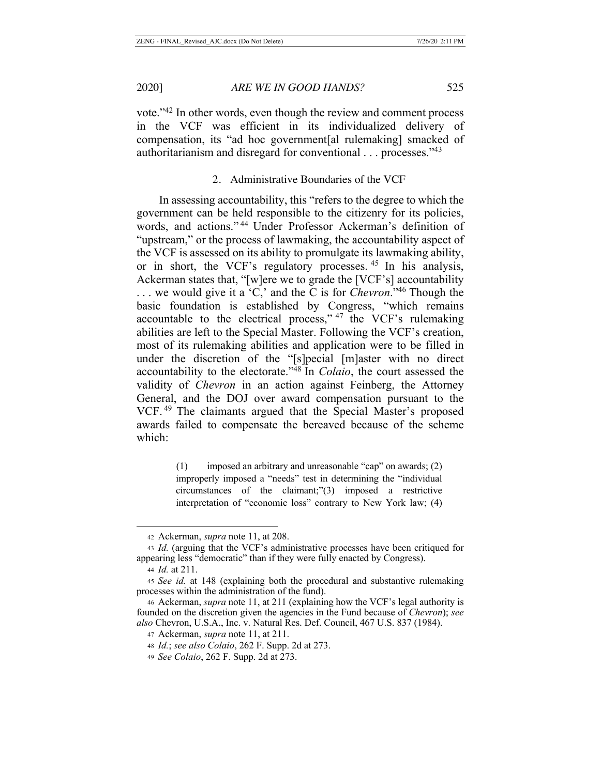vote."42 In other words, even though the review and comment process in the VCF was efficient in its individualized delivery of compensation, its "ad hoc government[al rulemaking] smacked of authoritarianism and disregard for conventional . . . processes."43

# 2. Administrative Boundaries of the VCF

In assessing accountability, this "refers to the degree to which the government can be held responsible to the citizenry for its policies, words, and actions." 44 Under Professor Ackerman's definition of "upstream," or the process of lawmaking, the accountability aspect of the VCF is assessed on its ability to promulgate its lawmaking ability, or in short, the VCF's regulatory processes. 45 In his analysis, Ackerman states that, "[w]ere we to grade the [VCF's] accountability . . . we would give it a 'C,' and the C is for *Chevron*."46 Though the basic foundation is established by Congress, "which remains accountable to the electrical process," 47 the VCF's rulemaking abilities are left to the Special Master. Following the VCF's creation, most of its rulemaking abilities and application were to be filled in under the discretion of the "[s]pecial [m]aster with no direct accountability to the electorate."48 In *Colaio*, the court assessed the validity of *Chevron* in an action against Feinberg, the Attorney General, and the DOJ over award compensation pursuant to the VCF. 49 The claimants argued that the Special Master's proposed awards failed to compensate the bereaved because of the scheme which:

> (1) imposed an arbitrary and unreasonable "cap" on awards; (2) improperly imposed a "needs" test in determining the "individual circumstances of the claimant;"(3) imposed a restrictive interpretation of "economic loss" contrary to New York law; (4)

<sup>42</sup> Ackerman, *supra* note 11, at 208.

<sup>43</sup> *Id.* (arguing that the VCF's administrative processes have been critiqued for appearing less "democratic" than if they were fully enacted by Congress).

<sup>44</sup> *Id.* at 211.

<sup>45</sup> *See id.* at 148 (explaining both the procedural and substantive rulemaking processes within the administration of the fund).

<sup>46</sup> Ackerman, *supra* note 11, at 211 (explaining how the VCF's legal authority is founded on the discretion given the agencies in the Fund because of *Chevron*); *see also* Chevron, U.S.A., Inc. v. Natural Res. Def. Council, 467 U.S. 837 (1984).

<sup>47</sup> Ackerman, *supra* note 11, at 211.

<sup>48</sup> *Id.*; *see also Colaio*, 262 F. Supp. 2d at 273.

<sup>49</sup> *See Colaio*, 262 F. Supp. 2d at 273.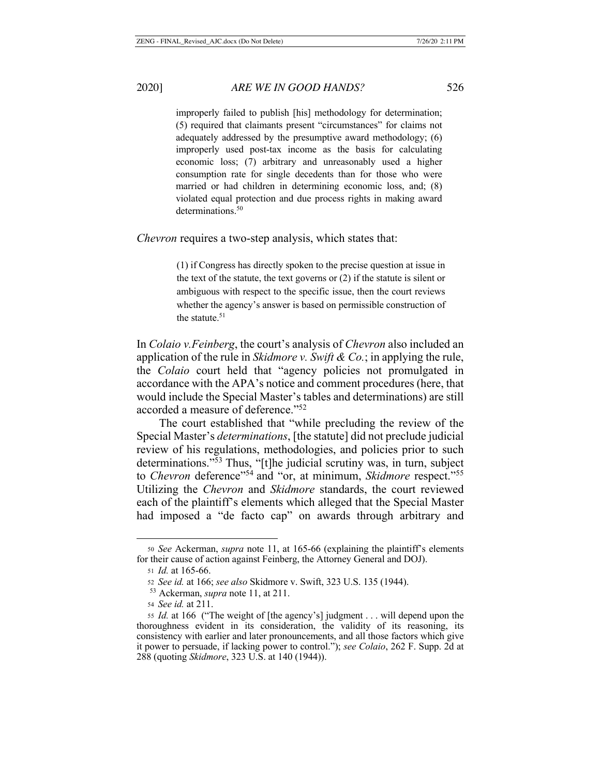improperly failed to publish [his] methodology for determination; (5) required that claimants present "circumstances" for claims not adequately addressed by the presumptive award methodology; (6) improperly used post-tax income as the basis for calculating economic loss; (7) arbitrary and unreasonably used a higher consumption rate for single decedents than for those who were married or had children in determining economic loss, and; (8) violated equal protection and due process rights in making award determinations.<sup>50</sup>

#### *Chevron* requires a two-step analysis, which states that:

(1) if Congress has directly spoken to the precise question at issue in the text of the statute, the text governs or (2) if the statute is silent or ambiguous with respect to the specific issue, then the court reviews whether the agency's answer is based on permissible construction of the statute.<sup>51</sup>

In *Colaio v.Feinberg*, the court's analysis of *Chevron* also included an application of the rule in *Skidmore v. Swift & Co.*; in applying the rule, the *Colaio* court held that "agency policies not promulgated in accordance with the APA's notice and comment procedures (here, that would include the Special Master's tables and determinations) are still accorded a measure of deference."52

The court established that "while precluding the review of the Special Master's *determinations*, [the statute] did not preclude judicial review of his regulations, methodologies, and policies prior to such determinations."53 Thus, "[t]he judicial scrutiny was, in turn, subject to *Chevron* deference"54 and "or, at minimum, *Skidmore* respect."55 Utilizing the *Chevron* and *Skidmore* standards, the court reviewed each of the plaintiff's elements which alleged that the Special Master had imposed a "de facto cap" on awards through arbitrary and

<sup>50</sup> *See* Ackerman, *supra* note 11, at 165-66 (explaining the plaintiff's elements for their cause of action against Feinberg, the Attorney General and DOJ).

<sup>51</sup> *Id.* at 165-66.

<sup>52</sup> *See id.* at 166; *see also* Skidmore v. Swift, 323 U.S. 135 (1944).

<sup>53</sup> Ackerman, *supra* note 11, at 211.

<sup>54</sup> *See id.* at 211.

<sup>55</sup> *Id.* at 166 ("The weight of [the agency's] judgment . . . will depend upon the thoroughness evident in its consideration, the validity of its reasoning, its consistency with earlier and later pronouncements, and all those factors which give it power to persuade, if lacking power to control."); *see Colaio*, 262 F. Supp. 2d at 288 (quoting *Skidmore*, 323 U.S. at 140 (1944)).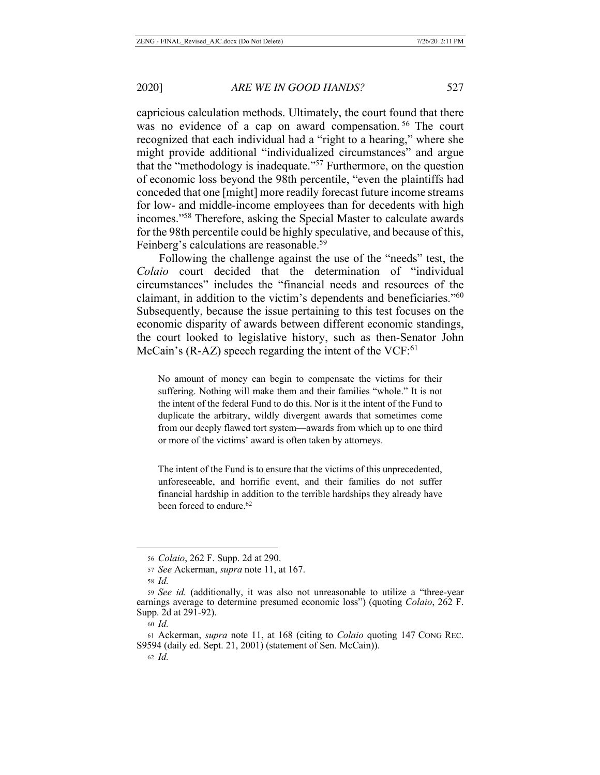capricious calculation methods. Ultimately, the court found that there was no evidence of a cap on award compensation.<sup>56</sup> The court recognized that each individual had a "right to a hearing," where she might provide additional "individualized circumstances" and argue that the "methodology is inadequate."57 Furthermore, on the question of economic loss beyond the 98th percentile, "even the plaintiffs had conceded that one [might] more readily forecast future income streams for low- and middle-income employees than for decedents with high incomes."58 Therefore, asking the Special Master to calculate awards for the 98th percentile could be highly speculative, and because of this, Feinberg's calculations are reasonable.59

Following the challenge against the use of the "needs" test, the *Colaio* court decided that the determination of "individual circumstances" includes the "financial needs and resources of the claimant, in addition to the victim's dependents and beneficiaries."60 Subsequently, because the issue pertaining to this test focuses on the economic disparity of awards between different economic standings, the court looked to legislative history, such as then-Senator John McCain's  $(R-AZ)$  speech regarding the intent of the VCF:<sup>61</sup>

No amount of money can begin to compensate the victims for their suffering. Nothing will make them and their families "whole." It is not the intent of the federal Fund to do this. Nor is it the intent of the Fund to duplicate the arbitrary, wildly divergent awards that sometimes come from our deeply flawed tort system—awards from which up to one third or more of the victims' award is often taken by attorneys.

The intent of the Fund is to ensure that the victims of this unprecedented, unforeseeable, and horrific event, and their families do not suffer financial hardship in addition to the terrible hardships they already have been forced to endure.<sup>62</sup>

<sup>56</sup> *Colaio*, 262 F. Supp. 2d at 290.

<sup>57</sup> *See* Ackerman, *supra* note 11, at 167.

<sup>58</sup> *Id.*

<sup>59</sup> *See id.* (additionally, it was also not unreasonable to utilize a "three-year earnings average to determine presumed economic loss") (quoting *Colaio*, 262 F. Supp. 2d at 291-92).

<sup>60</sup> *Id.*

<sup>61</sup> Ackerman, *supra* note 11, at 168 (citing to *Colaio* quoting 147 CONG REC. S9594 (daily ed. Sept. 21, 2001) (statement of Sen. McCain)).

<sup>62</sup> *Id.*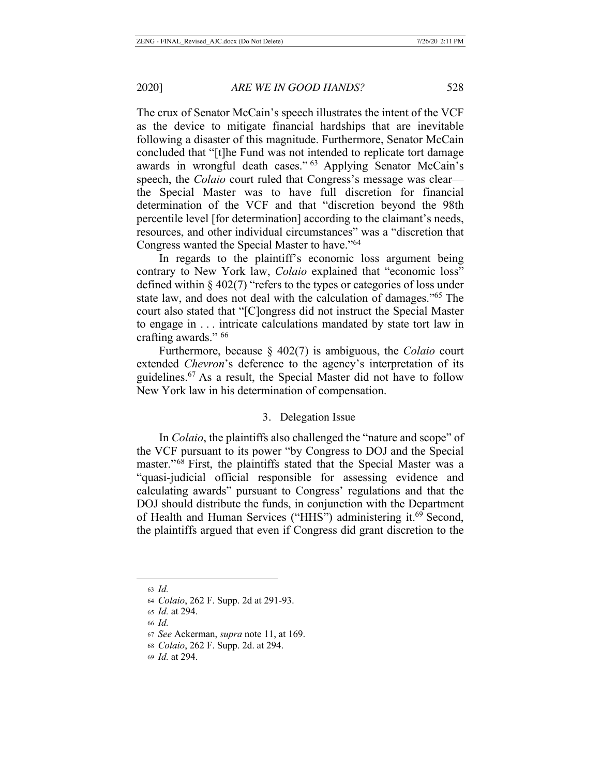The crux of Senator McCain's speech illustrates the intent of the VCF as the device to mitigate financial hardships that are inevitable following a disaster of this magnitude. Furthermore, Senator McCain concluded that "[t]he Fund was not intended to replicate tort damage awards in wrongful death cases." 63 Applying Senator McCain's speech, the *Colaio* court ruled that Congress's message was clear the Special Master was to have full discretion for financial determination of the VCF and that "discretion beyond the 98th percentile level [for determination] according to the claimant's needs, resources, and other individual circumstances" was a "discretion that Congress wanted the Special Master to have."64

In regards to the plaintiff's economic loss argument being contrary to New York law, *Colaio* explained that "economic loss" defined within § 402(7) "refers to the types or categories of loss under state law, and does not deal with the calculation of damages."<sup>65</sup> The court also stated that "[C]ongress did not instruct the Special Master to engage in . . . intricate calculations mandated by state tort law in crafting awards." 66

Furthermore, because § 402(7) is ambiguous, the *Colaio* court extended *Chevron*'s deference to the agency's interpretation of its guidelines.67 As a result, the Special Master did not have to follow New York law in his determination of compensation.

#### 3. Delegation Issue

In *Colaio*, the plaintiffs also challenged the "nature and scope" of the VCF pursuant to its power "by Congress to DOJ and the Special master."68 First, the plaintiffs stated that the Special Master was a "quasi-judicial official responsible for assessing evidence and calculating awards" pursuant to Congress' regulations and that the DOJ should distribute the funds, in conjunction with the Department of Health and Human Services ("HHS") administering it.<sup>69</sup> Second, the plaintiffs argued that even if Congress did grant discretion to the

<sup>63</sup> *Id.*

<sup>64</sup> *Colaio*, 262 F. Supp. 2d at 291-93.

<sup>65</sup> *Id.* at 294.

<sup>66</sup> *Id.*

<sup>67</sup> *See* Ackerman, *supra* note 11, at 169.

<sup>68</sup> *Colaio*, 262 F. Supp. 2d. at 294.

<sup>69</sup> *Id.* at 294.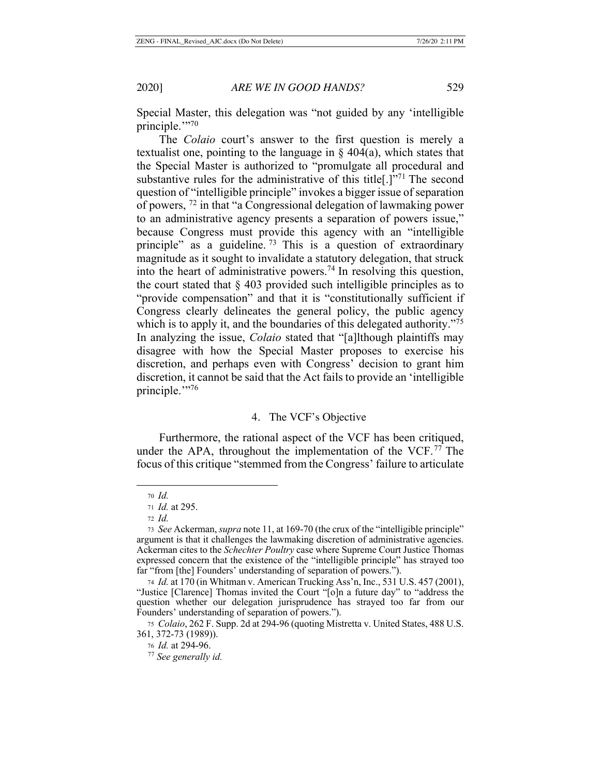Special Master, this delegation was "not guided by any 'intelligible principle."?70

The *Colaio* court's answer to the first question is merely a textualist one, pointing to the language in  $\S$  404(a), which states that the Special Master is authorized to "promulgate all procedural and substantive rules for the administrative of this title[.]"71 The second question of "intelligible principle" invokes a bigger issue of separation of powers, 72 in that "a Congressional delegation of lawmaking power to an administrative agency presents a separation of powers issue," because Congress must provide this agency with an "intelligible principle" as a guideline.  $73$  This is a question of extraordinary magnitude as it sought to invalidate a statutory delegation, that struck into the heart of administrative powers.<sup>74</sup> In resolving this question, the court stated that  $\S$  403 provided such intelligible principles as to "provide compensation" and that it is "constitutionally sufficient if Congress clearly delineates the general policy, the public agency which is to apply it, and the boundaries of this delegated authority.<sup>775</sup> In analyzing the issue, *Colaio* stated that "[a]lthough plaintiffs may disagree with how the Special Master proposes to exercise his discretion, and perhaps even with Congress' decision to grant him discretion, it cannot be said that the Act fails to provide an 'intelligible principle."<sup>76</sup>

#### 4. The VCF's Objective

Furthermore, the rational aspect of the VCF has been critiqued, under the APA, throughout the implementation of the VCF.<sup>77</sup> The focus of this critique "stemmed from the Congress' failure to articulate

<sup>70</sup> *Id.* 

<sup>71</sup> *Id.* at 295.

<sup>72</sup> *Id.*

<sup>73</sup> *See* Ackerman, *supra* note 11, at 169-70 (the crux of the "intelligible principle" argument is that it challenges the lawmaking discretion of administrative agencies. Ackerman cites to the *Schechter Poultry* case where Supreme Court Justice Thomas expressed concern that the existence of the "intelligible principle" has strayed too far "from [the] Founders' understanding of separation of powers.").

<sup>74</sup> *Id.* at 170 (in Whitman v. American Trucking Ass'n, Inc., 531 U.S. 457 (2001), "Justice [Clarence] Thomas invited the Court "[o]n a future day" to "address the question whether our delegation jurisprudence has strayed too far from our Founders' understanding of separation of powers.").

<sup>75</sup> *Colaio*, 262 F. Supp. 2d at 294-96 (quoting Mistretta v. United States, 488 U.S. 361, 372-73 (1989)).

<sup>76</sup> *Id.* at 294-96.

<sup>77</sup> *See generally id.*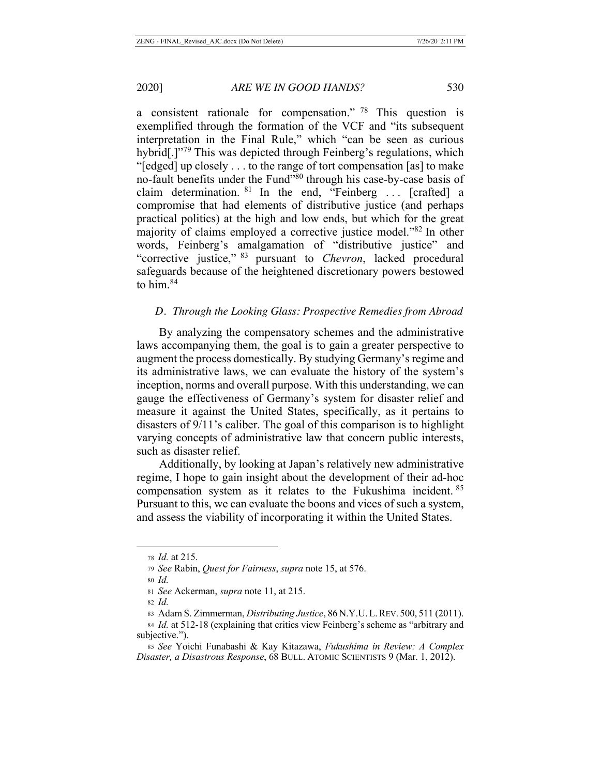a consistent rationale for compensation." 78 This question is exemplified through the formation of the VCF and "its subsequent interpretation in the Final Rule," which "can be seen as curious hybrid<sup>[1]</sup><sup>79</sup> This was depicted through Feinberg's regulations, which "[edged] up closely . . . to the range of tort compensation [as] to make no-fault benefits under the Fund"80 through his case-by-case basis of claim determination.  $81$  In the end, "Feinberg ... [crafted] a compromise that had elements of distributive justice (and perhaps practical politics) at the high and low ends, but which for the great majority of claims employed a corrective justice model."82 In other words, Feinberg's amalgamation of "distributive justice" and "corrective justice," 83 pursuant to *Chevron*, lacked procedural safeguards because of the heightened discretionary powers bestowed to him.84

### *D. Through the Looking Glass: Prospective Remedies from Abroad*

By analyzing the compensatory schemes and the administrative laws accompanying them, the goal is to gain a greater perspective to augment the process domestically. By studying Germany's regime and its administrative laws, we can evaluate the history of the system's inception, norms and overall purpose. With this understanding, we can gauge the effectiveness of Germany's system for disaster relief and measure it against the United States, specifically, as it pertains to disasters of 9/11's caliber. The goal of this comparison is to highlight varying concepts of administrative law that concern public interests, such as disaster relief.

Additionally, by looking at Japan's relatively new administrative regime, I hope to gain insight about the development of their ad-hoc compensation system as it relates to the Fukushima incident. <sup>85</sup> Pursuant to this, we can evaluate the boons and vices of such a system, and assess the viability of incorporating it within the United States.

<sup>78</sup> *Id.* at 215.

<sup>79</sup> *See* Rabin, *Quest for Fairness*, *supra* note 15, at 576.

<sup>80</sup> *Id.*

<sup>81</sup> *See* Ackerman, *supra* note 11, at 215.

<sup>82</sup> *Id.*

<sup>83</sup> Adam S. Zimmerman, *Distributing Justice*, 86 N.Y.U.L.REV. 500, 511 (2011).

<sup>84</sup> *Id.* at 512-18 (explaining that critics view Feinberg's scheme as "arbitrary and subjective.").

<sup>85</sup> *See* Yoichi Funabashi & Kay Kitazawa, *Fukushima in Review: A Complex Disaster, a Disastrous Response*, 68 BULL. ATOMIC SCIENTISTS 9 (Mar. 1, 2012).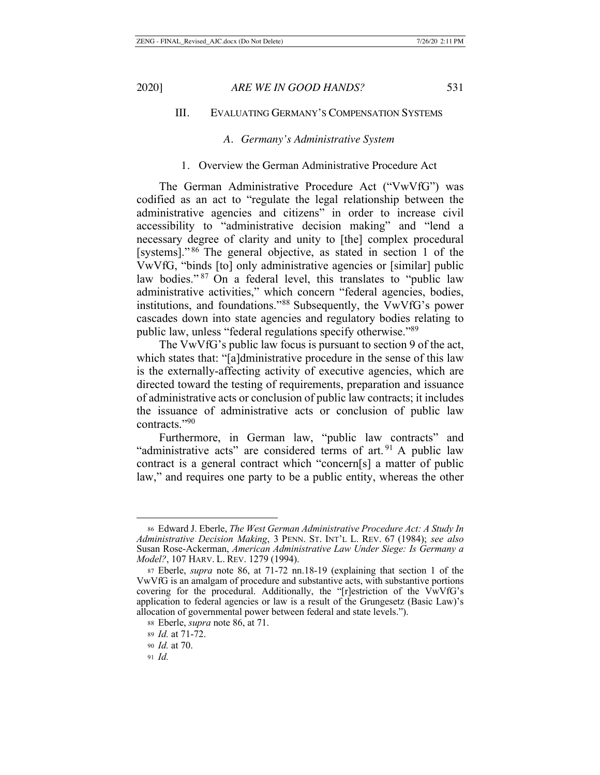# III. EVALUATING GERMANY'S COMPENSATION SYSTEMS

## *A. Germany's Administrative System*

#### 1. Overview the German Administrative Procedure Act

The German Administrative Procedure Act ("VwVfG") was codified as an act to "regulate the legal relationship between the administrative agencies and citizens" in order to increase civil accessibility to "administrative decision making" and "lend a necessary degree of clarity and unity to [the] complex procedural [systems]." 86 The general objective, as stated in section 1 of the VwVfG, "binds [to] only administrative agencies or [similar] public law bodies."<sup>87</sup> On a federal level, this translates to "public law administrative activities," which concern "federal agencies, bodies, institutions, and foundations."88 Subsequently, the VwVfG's power cascades down into state agencies and regulatory bodies relating to public law, unless "federal regulations specify otherwise."89

The VwVfG's public law focus is pursuant to section 9 of the act, which states that: "[a]dministrative procedure in the sense of this law is the externally-affecting activity of executive agencies, which are directed toward the testing of requirements, preparation and issuance of administrative acts or conclusion of public law contracts; it includes the issuance of administrative acts or conclusion of public law contracts."90

Furthermore, in German law, "public law contracts" and "administrative acts" are considered terms of art.  $91$  A public law contract is a general contract which "concern[s] a matter of public law," and requires one party to be a public entity, whereas the other

<sup>86</sup> Edward J. Eberle, *The West German Administrative Procedure Act: A Study In Administrative Decision Making*, 3 PENN. ST. INT'L L. REV. 67 (1984); *see also*  Susan Rose-Ackerman, *American Administrative Law Under Siege: Is Germany a Model?*, 107 HARV. L. REV. 1279 (1994).

<sup>87</sup> Eberle, *supra* note 86, at 71-72 nn.18-19 (explaining that section 1 of the VwVfG is an amalgam of procedure and substantive acts, with substantive portions covering for the procedural. Additionally, the "[r]estriction of the VwVfG's application to federal agencies or law is a result of the Grungesetz (Basic Law)'s allocation of governmental power between federal and state levels.").

<sup>88</sup> Eberle, *supra* note 86, at 71.

<sup>89</sup> *Id.* at 71-72.

<sup>90</sup> *Id.* at 70.

<sup>91</sup> *Id.*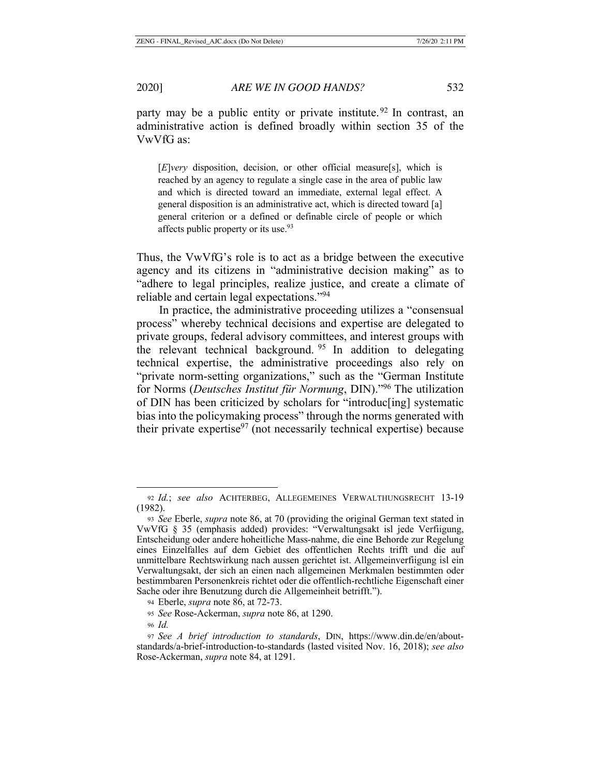party may be a public entity or private institute.<sup>92</sup> In contrast, an administrative action is defined broadly within section 35 of the VwVfG as:

[*E*]*very* disposition, decision, or other official measure[s], which is reached by an agency to regulate a single case in the area of public law and which is directed toward an immediate, external legal effect. A general disposition is an administrative act, which is directed toward [a] general criterion or a defined or definable circle of people or which affects public property or its use.<sup>93</sup>

Thus, the VwVfG's role is to act as a bridge between the executive agency and its citizens in "administrative decision making" as to "adhere to legal principles, realize justice, and create a climate of reliable and certain legal expectations."94

In practice, the administrative proceeding utilizes a "consensual process" whereby technical decisions and expertise are delegated to private groups, federal advisory committees, and interest groups with the relevant technical background. <sup>95</sup> In addition to delegating technical expertise, the administrative proceedings also rely on "private norm-setting organizations," such as the "German Institute for Norms (*Deutsches Institut für Normung*, DIN)."96 The utilization of DIN has been criticized by scholars for "introduc[ing] systematic bias into the policymaking process" through the norms generated with their private expertise $97$  (not necessarily technical expertise) because

<sup>92</sup> *Id.*; *see also* ACHTERBEG, ALLEGEMEINES VERWALTHUNGSRECHT 13-19 (1982).

<sup>93</sup> *See* Eberle, *supra* note 86, at 70 (providing the original German text stated in VwVfG § 35 (emphasis added) provides: "Verwaltungsakt isl jede Verfiigung, Entscheidung oder andere hoheitliche Mass-nahme, die eine Behorde zur Regelung eines Einzelfalles auf dem Gebiet des offentlichen Rechts trifft und die auf unmittelbare Rechtswirkung nach aussen gerichtet ist. Allgemeinverfiigung isl ein Verwaltungsakt, der sich an einen nach allgemeinen Merkmalen bestimmten oder bestimmbaren Personenkreis richtet oder die offentlich-rechtliche Eigenschaft einer Sache oder ihre Benutzung durch die Allgemeinheit betrifft.").

<sup>94</sup> Eberle, *supra* note 86, at 72-73.

<sup>95</sup> *See* Rose-Ackerman, *supra* note 86, at 1290.

<sup>96</sup> *Id.*

<sup>97</sup> *See A brief introduction to standards*, DIN, https://www.din.de/en/aboutstandards/a-brief-introduction-to-standards (lasted visited Nov. 16, 2018); *see also* Rose-Ackerman, *supra* note 84, at 1291.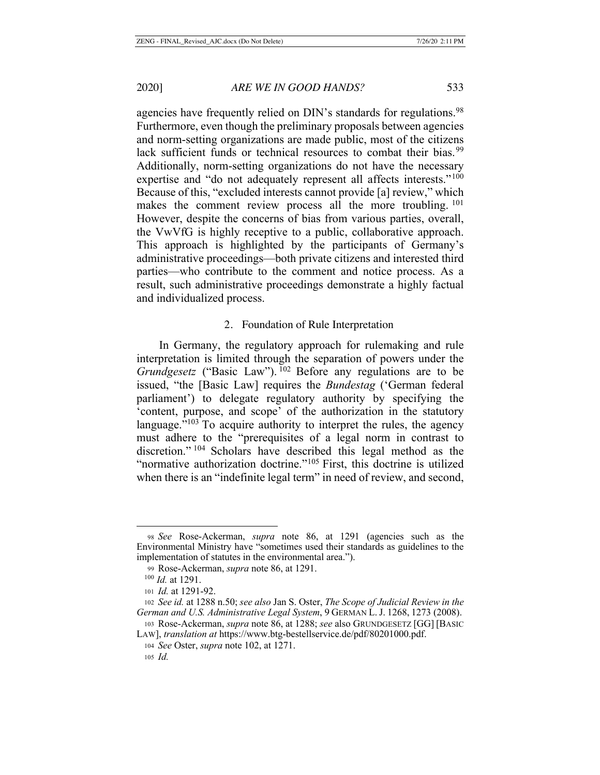agencies have frequently relied on DIN's standards for regulations.<sup>98</sup> Furthermore, even though the preliminary proposals between agencies and norm-setting organizations are made public, most of the citizens lack sufficient funds or technical resources to combat their bias.<sup>99</sup> Additionally, norm-setting organizations do not have the necessary expertise and "do not adequately represent all affects interests."<sup>100</sup> Because of this, "excluded interests cannot provide [a] review," which makes the comment review process all the more troubling. <sup>101</sup> However, despite the concerns of bias from various parties, overall, the VwVfG is highly receptive to a public, collaborative approach. This approach is highlighted by the participants of Germany's administrative proceedings—both private citizens and interested third parties—who contribute to the comment and notice process. As a result, such administrative proceedings demonstrate a highly factual and individualized process.

#### 2. Foundation of Rule Interpretation

In Germany, the regulatory approach for rulemaking and rule interpretation is limited through the separation of powers under the *Grundgesetz* ("Basic Law"). <sup>102</sup> Before any regulations are to be issued, "the [Basic Law] requires the *Bundestag* ('German federal parliament') to delegate regulatory authority by specifying the 'content, purpose, and scope' of the authorization in the statutory language."<sup>103</sup> To acquire authority to interpret the rules, the agency must adhere to the "prerequisites of a legal norm in contrast to discretion." 104 Scholars have described this legal method as the "normative authorization doctrine."<sup>105</sup> First, this doctrine is utilized when there is an "indefinite legal term" in need of review, and second,

<sup>98</sup> *See* Rose-Ackerman, *supra* note 86, at 1291 (agencies such as the Environmental Ministry have "sometimes used their standards as guidelines to the implementation of statutes in the environmental area.").

<sup>99</sup> Rose-Ackerman, *supra* note 86, at 1291.

 <sup>100</sup> *Id.* at 1291.

<sup>101</sup> *Id.* at 1291-92.

<sup>102</sup> *See id.* at 1288 n.50; *see also* Jan S. Oster, *The Scope of Judicial Review in the German and U.S. Administrative Legal System*, 9 GERMAN L. J. 1268, 1273 (2008). <sup>103</sup> Rose-Ackerman, *supra* note 86, at 1288; *see* also GRUNDGESETZ [GG] [BASIC

LAW], *translation at* https://www.btg-bestellservice.de/pdf/80201000.pdf.

<sup>104</sup> *See* Oster, *supra* note 102, at 1271.

<sup>105</sup> *Id.*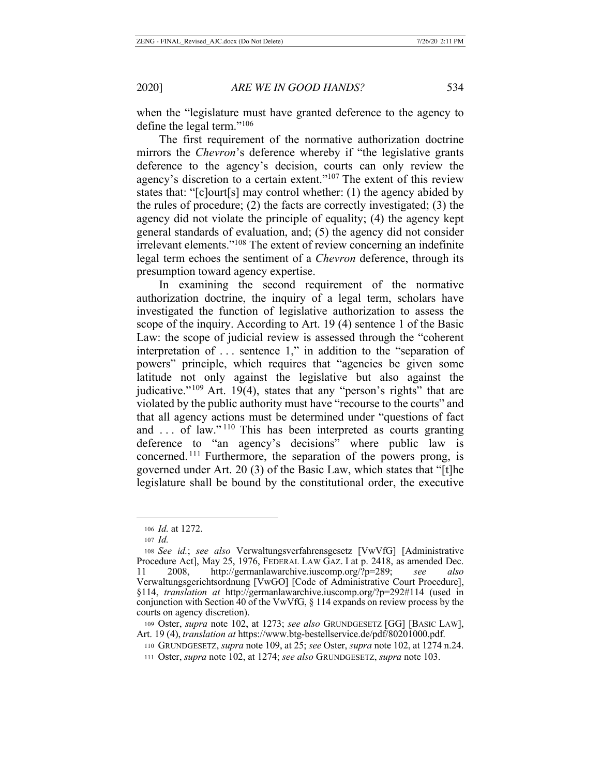when the "legislature must have granted deference to the agency to define the legal term."106

The first requirement of the normative authorization doctrine mirrors the *Chevron*'s deference whereby if "the legislative grants deference to the agency's decision, courts can only review the agency's discretion to a certain extent."<sup>107</sup> The extent of this review states that: "[c]ourt[s] may control whether: (1) the agency abided by the rules of procedure; (2) the facts are correctly investigated; (3) the agency did not violate the principle of equality; (4) the agency kept general standards of evaluation, and; (5) the agency did not consider irrelevant elements."108 The extent of review concerning an indefinite legal term echoes the sentiment of a *Chevron* deference, through its presumption toward agency expertise.

In examining the second requirement of the normative authorization doctrine, the inquiry of a legal term, scholars have investigated the function of legislative authorization to assess the scope of the inquiry. According to Art. 19 (4) sentence 1 of the Basic Law: the scope of judicial review is assessed through the "coherent interpretation of . . . sentence 1," in addition to the "separation of powers" principle, which requires that "agencies be given some latitude not only against the legislative but also against the judicative."<sup>109</sup> Art. 19(4), states that any "person's rights" that are violated by the public authority must have "recourse to the courts" and that all agency actions must be determined under "questions of fact and ... of law."<sup>110</sup> This has been interpreted as courts granting deference to "an agency's decisions" where public law is concerned. 111 Furthermore, the separation of the powers prong, is governed under Art. 20 (3) of the Basic Law, which states that "[t]he legislature shall be bound by the constitutional order, the executive

<sup>106</sup> *Id.* at 1272.

<sup>107</sup> *Id.*

<sup>108</sup> *See id.*; *see also* Verwaltungsverfahrensgesetz [VwVfG] [Administrative Procedure Act], May 25, 1976, FEDERAL LAW GAZ. I at p. 2418, as amended Dec. 11 2008, http://germanlawarchive.iuscomp.org/?p=289; *see also*  Verwaltungsgerichtsordnung [VwGO] [Code of Administrative Court Procedure], §114, *translation at* http://germanlawarchive.iuscomp.org/?p=292#114 (used in conjunction with Section 40 of the VwVfG, § 114 expands on review process by the courts on agency discretion).

<sup>109</sup> Oster, *supra* note 102, at 1273; *see also* GRUNDGESETZ [GG] [BASIC LAW], Art. 19 (4), *translation at* https://www.btg-bestellservice.de/pdf/80201000.pdf.

<sup>110</sup> GRUNDGESETZ, *supra* note 109, at 25; *see* Oster, *supra* note 102, at 1274 n.24.

<sup>111</sup> Oster, *supra* note 102, at 1274; *see also* GRUNDGESETZ, *supra* note 103.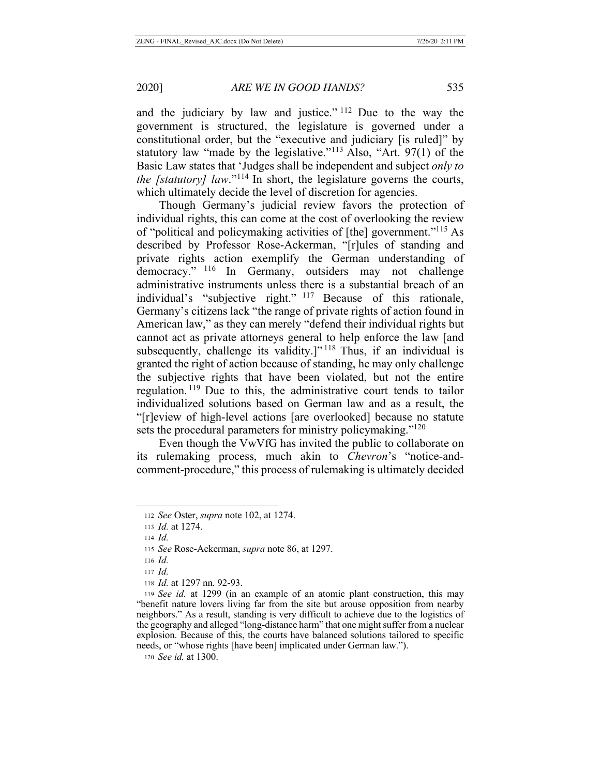and the judiciary by law and justice." 112 Due to the way the government is structured, the legislature is governed under a constitutional order, but the "executive and judiciary [is ruled]" by statutory law "made by the legislative."<sup>113</sup> Also, "Art.  $97(1)$  of the Basic Law states that 'Judges shall be independent and subject *only to the [statutory] law.*"<sup>114</sup> In short, the legislature governs the courts, which ultimately decide the level of discretion for agencies.

Though Germany's judicial review favors the protection of individual rights, this can come at the cost of overlooking the review of "political and policymaking activities of [the] government."115 As described by Professor Rose-Ackerman, "[r]ules of standing and private rights action exemplify the German understanding of democracy." 116 In Germany, outsiders may not challenge administrative instruments unless there is a substantial breach of an individual's "subjective right." 117 Because of this rationale, Germany's citizens lack "the range of private rights of action found in American law," as they can merely "defend their individual rights but cannot act as private attorneys general to help enforce the law [and subsequently, challenge its validity.]"<sup>118</sup> Thus, if an individual is granted the right of action because of standing, he may only challenge the subjective rights that have been violated, but not the entire regulation. 119 Due to this, the administrative court tends to tailor individualized solutions based on German law and as a result, the "[r]eview of high-level actions [are overlooked] because no statute sets the procedural parameters for ministry policymaking."<sup>120</sup>

Even though the VwVfG has invited the public to collaborate on its rulemaking process, much akin to *Chevron*'s "notice-andcomment-procedure," this process of rulemaking is ultimately decided

<sup>120</sup> *See id.* at 1300.

<sup>112</sup> *See* Oster, *supra* note 102, at 1274.

<sup>113</sup> *Id.* at 1274.

<sup>114</sup> *Id.*

<sup>115</sup> *See* Rose-Ackerman, *supra* note 86, at 1297.

<sup>116</sup> *Id.*

<sup>117</sup> *Id.*

<sup>118</sup> *Id.* at 1297 nn. 92-93.

<sup>119</sup> *See id.* at 1299 (in an example of an atomic plant construction, this may "benefit nature lovers living far from the site but arouse opposition from nearby neighbors." As a result, standing is very difficult to achieve due to the logistics of the geography and alleged "long-distance harm" that one might suffer from a nuclear explosion. Because of this, the courts have balanced solutions tailored to specific needs, or "whose rights [have been] implicated under German law.").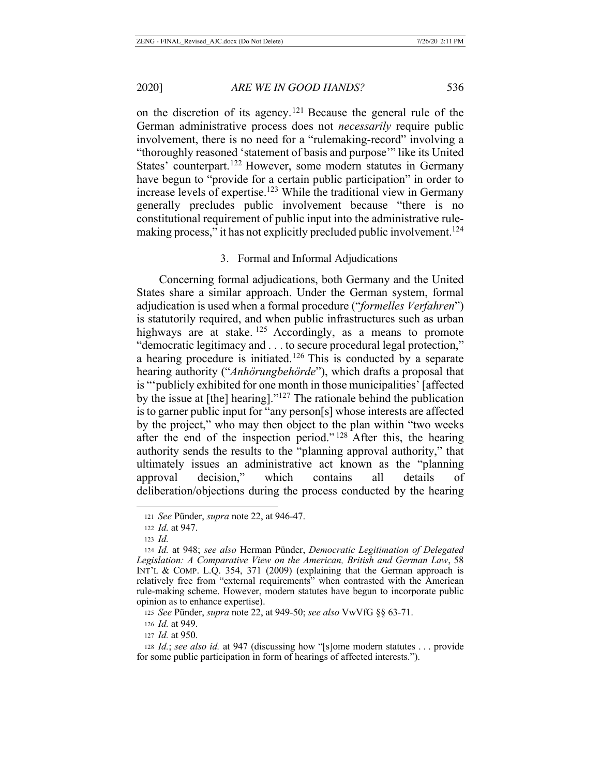on the discretion of its agency.<sup>121</sup> Because the general rule of the German administrative process does not *necessarily* require public involvement, there is no need for a "rulemaking-record" involving a "thoroughly reasoned 'statement of basis and purpose'" like its United States' counterpart.<sup>122</sup> However, some modern statutes in Germany have begun to "provide for a certain public participation" in order to increase levels of expertise.<sup>123</sup> While the traditional view in Germany generally precludes public involvement because "there is no constitutional requirement of public input into the administrative rulemaking process," it has not explicitly precluded public involvement.<sup>124</sup>

#### 3. Formal and Informal Adjudications

Concerning formal adjudications, both Germany and the United States share a similar approach. Under the German system, formal adjudication is used when a formal procedure ("*formelles Verfahren*") is statutorily required, and when public infrastructures such as urban highways are at stake.  $125$  Accordingly, as a means to promote "democratic legitimacy and . . . to secure procedural legal protection," a hearing procedure is initiated.<sup>126</sup> This is conducted by a separate hearing authority ("*Anhörungbehörde*"), which drafts a proposal that is "'publicly exhibited for one month in those municipalities' [affected by the issue at [the] hearing]."127 The rationale behind the publication is to garner public input for "any person[s] whose interests are affected by the project," who may then object to the plan within "two weeks after the end of the inspection period."<sup>128</sup> After this, the hearing authority sends the results to the "planning approval authority," that ultimately issues an administrative act known as the "planning approval decision," which contains all details of deliberation/objections during the process conducted by the hearing

<sup>121</sup> *See* Pünder, *supra* note 22, at 946-47.

<sup>122</sup> *Id.* at 947.

<sup>123</sup> *Id.*

<sup>124</sup> *Id.* at 948; *see also* Herman Pünder, *Democratic Legitimation of Delegated Legislation: A Comparative View on the American, British and German Law*, 58 INT'L & COMP. L.Q. 354, 371 (2009) (explaining that the German approach is relatively free from "external requirements" when contrasted with the American rule-making scheme. However, modern statutes have begun to incorporate public opinion as to enhance expertise).

<sup>125</sup> *See* Pünder, *supra* note 22, at 949-50; *see also* VwVfG §§ 63-71.

<sup>126</sup> *Id.* at 949.

<sup>127</sup> *Id.* at 950.

<sup>128</sup> *Id.*; *see also id.* at 947 (discussing how "[s]ome modern statutes . . . provide for some public participation in form of hearings of affected interests.").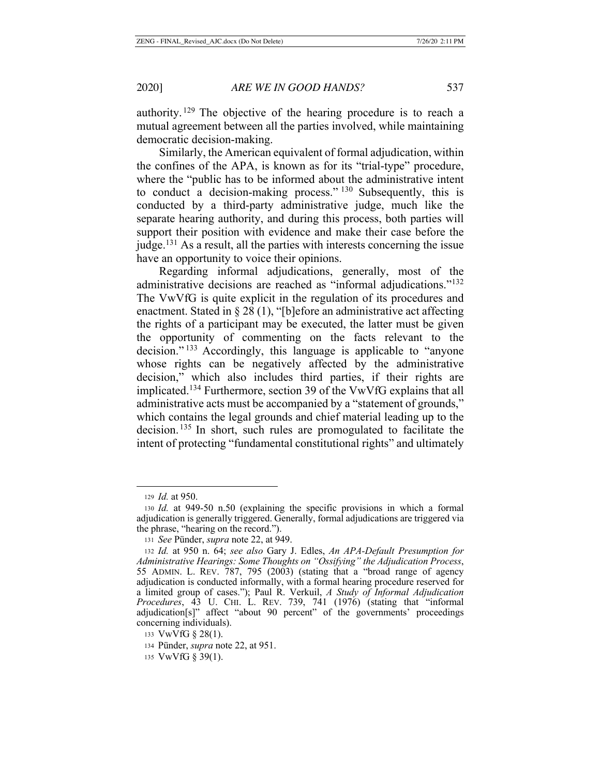authority. 129 The objective of the hearing procedure is to reach a mutual agreement between all the parties involved, while maintaining democratic decision-making.

Similarly, the American equivalent of formal adjudication, within the confines of the APA, is known as for its "trial-type" procedure, where the "public has to be informed about the administrative intent to conduct a decision-making process." 130 Subsequently, this is conducted by a third-party administrative judge, much like the separate hearing authority, and during this process, both parties will support their position with evidence and make their case before the judge.<sup>131</sup> As a result, all the parties with interests concerning the issue have an opportunity to voice their opinions.

Regarding informal adjudications, generally, most of the administrative decisions are reached as "informal adjudications."132 The VwVfG is quite explicit in the regulation of its procedures and enactment. Stated in § 28 (1), "[b]efore an administrative act affecting the rights of a participant may be executed, the latter must be given the opportunity of commenting on the facts relevant to the decision." 133 Accordingly, this language is applicable to "anyone whose rights can be negatively affected by the administrative decision," which also includes third parties, if their rights are implicated.134 Furthermore, section 39 of the VwVfG explains that all administrative acts must be accompanied by a "statement of grounds," which contains the legal grounds and chief material leading up to the decision. 135 In short, such rules are promogulated to facilitate the intent of protecting "fundamental constitutional rights" and ultimately

<sup>129</sup> *Id.* at 950.

<sup>130</sup> *Id.* at 949-50 n.50 (explaining the specific provisions in which a formal adjudication is generally triggered. Generally, formal adjudications are triggered via the phrase, "hearing on the record.").

<sup>131</sup> *See* Pünder, *supra* note 22, at 949.

<sup>132</sup> *Id.* at 950 n. 64; *see also* Gary J. Edles, *An APA-Default Presumption for Administrative Hearings: Some Thoughts on "Ossifying" the Adjudication Process*, 55 ADMIN. L. REV. 787, 795 (2003) (stating that a "broad range of agency adjudication is conducted informally, with a formal hearing procedure reserved for a limited group of cases."); Paul R. Verkuil, *A Study of Informal Adjudication Procedures*, 43 U. CHI. L. REV. 739, 741 (1976) (stating that "informal adjudication[s]" affect "about 90 percent" of the governments' proceedings concerning individuals).

<sup>133</sup> VwVfG § 28(1).

<sup>134</sup> Pünder, *supra* note 22, at 951.

<sup>135</sup> VwVfG § 39(1).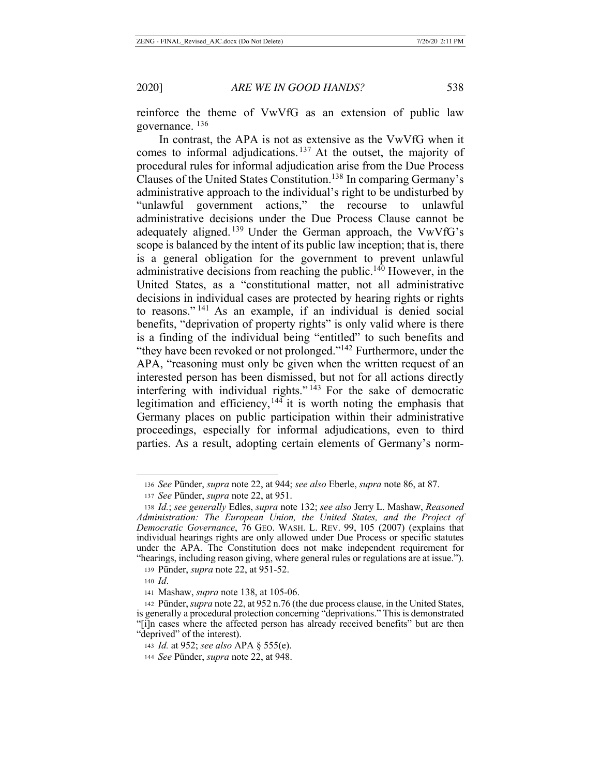reinforce the theme of VwVfG as an extension of public law governance. 136

In contrast, the APA is not as extensive as the VwVfG when it comes to informal adjudications. 137 At the outset, the majority of procedural rules for informal adjudication arise from the Due Process Clauses of the United States Constitution.138 In comparing Germany's administrative approach to the individual's right to be undisturbed by "unlawful government actions," the recourse to unlawful administrative decisions under the Due Process Clause cannot be adequately aligned. 139 Under the German approach, the VwVfG's scope is balanced by the intent of its public law inception; that is, there is a general obligation for the government to prevent unlawful administrative decisions from reaching the public.<sup>140</sup> However, in the United States, as a "constitutional matter, not all administrative decisions in individual cases are protected by hearing rights or rights to reasons." 141 As an example, if an individual is denied social benefits, "deprivation of property rights" is only valid where is there is a finding of the individual being "entitled" to such benefits and "they have been revoked or not prolonged."<sup>142</sup> Furthermore, under the APA, "reasoning must only be given when the written request of an interested person has been dismissed, but not for all actions directly interfering with individual rights." 143 For the sake of democratic legitimation and efficiency,144 it is worth noting the emphasis that Germany places on public participation within their administrative proceedings, especially for informal adjudications, even to third parties. As a result, adopting certain elements of Germany's norm-

<sup>136</sup> *See* Pünder, *supra* note 22, at 944; *see also* Eberle, *supra* note 86, at 87.

<sup>137</sup> *See* Pünder, *supra* note 22, at 951.

<sup>138</sup> *Id.*; *see generally* Edles, *supra* note 132; *see also* Jerry L. Mashaw, *Reasoned Administration: The European Union, the United States, and the Project of Democratic Governance*, 76 GEO. WASH. L. REV. 99, 105 (2007) (explains that individual hearings rights are only allowed under Due Process or specific statutes under the APA. The Constitution does not make independent requirement for "hearings, including reason giving, where general rules or regulations are at issue.").

<sup>139</sup> Pünder, *supra* note 22, at 951-52.

<sup>140</sup> *Id*.

<sup>141</sup> Mashaw, *supra* note 138, at 105-06.

<sup>142</sup> Pünder, *supra* note 22, at 952 n.76 (the due process clause, in the United States, is generally a procedural protection concerning "deprivations." This is demonstrated "[i]n cases where the affected person has already received benefits" but are then "deprived" of the interest).

<sup>143</sup> *Id.* at 952; *see also* APA § 555(e).

<sup>144</sup> *See* Pünder, *supra* note 22, at 948.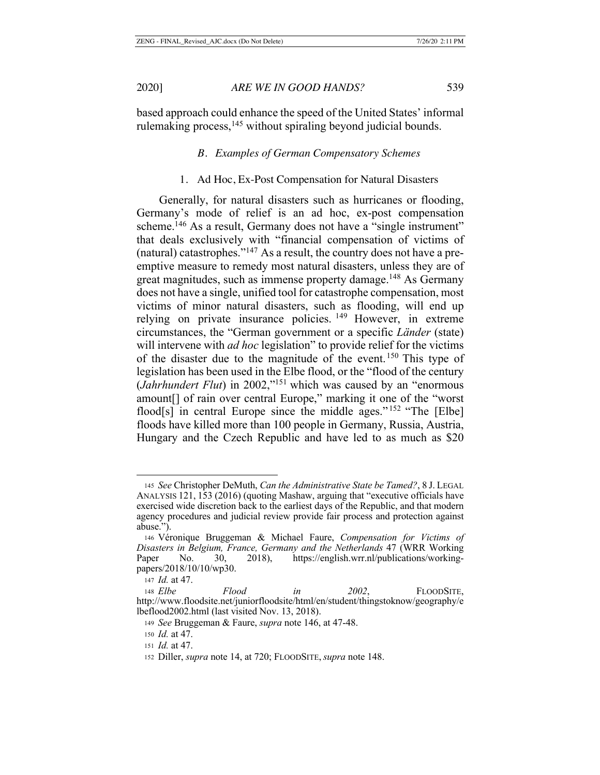based approach could enhance the speed of the United States' informal rulemaking process,  $145$  without spiraling beyond judicial bounds.

## *B. Examples of German Compensatory Schemes*

#### 1. Ad Hoc, Ex-Post Compensation for Natural Disasters

Generally, for natural disasters such as hurricanes or flooding, Germany's mode of relief is an ad hoc, ex-post compensation scheme.<sup>146</sup> As a result, Germany does not have a "single instrument" that deals exclusively with "financial compensation of victims of (natural) catastrophes."147 As a result, the country does not have a preemptive measure to remedy most natural disasters, unless they are of great magnitudes, such as immense property damage.<sup>148</sup> As Germany does not have a single, unified tool for catastrophe compensation, most victims of minor natural disasters, such as flooding, will end up relying on private insurance policies.<sup>149</sup> However, in extreme circumstances, the "German government or a specific *Länder* (state) will intervene with *ad hoc* legislation" to provide relief for the victims of the disaster due to the magnitude of the event.150 This type of legislation has been used in the Elbe flood, or the "flood of the century (*Jahrhundert Flut*) in 2002,"151 which was caused by an "enormous amount[] of rain over central Europe," marking it one of the "worst flood[s] in central Europe since the middle ages."<sup>152</sup> "The [Elbe] floods have killed more than 100 people in Germany, Russia, Austria, Hungary and the Czech Republic and have led to as much as \$20

<sup>145</sup> *See* Christopher DeMuth, *Can the Administrative State be Tamed?*, 8 J. LEGAL ANALYSIS 121, 153 (2016) (quoting Mashaw, arguing that "executive officials have exercised wide discretion back to the earliest days of the Republic, and that modern agency procedures and judicial review provide fair process and protection against abuse.").

<sup>146</sup> Véronique Bruggeman & Michael Faure, *Compensation for Victims of Disasters in Belgium, France, Germany and the Netherlands* 47 (WRR Working Paper No. 30, 2018), https://english.wrr.nl/publications/workingpapers/2018/10/10/wp30.

<sup>147</sup> *Id.* at 47.

<sup>148</sup> *Elbe Flood in 2002*, FLOODSITE, http://www.floodsite.net/juniorfloodsite/html/en/student/thingstoknow/geography/e lbeflood2002.html (last visited Nov. 13, 2018).

<sup>149</sup> *See* Bruggeman & Faure, *supra* note 146, at 47-48.

<sup>150</sup> *Id.* at 47.

<sup>151</sup> *Id.* at 47.

<sup>152</sup> Diller, *supra* note 14, at 720; FLOODSITE, *supra* note 148.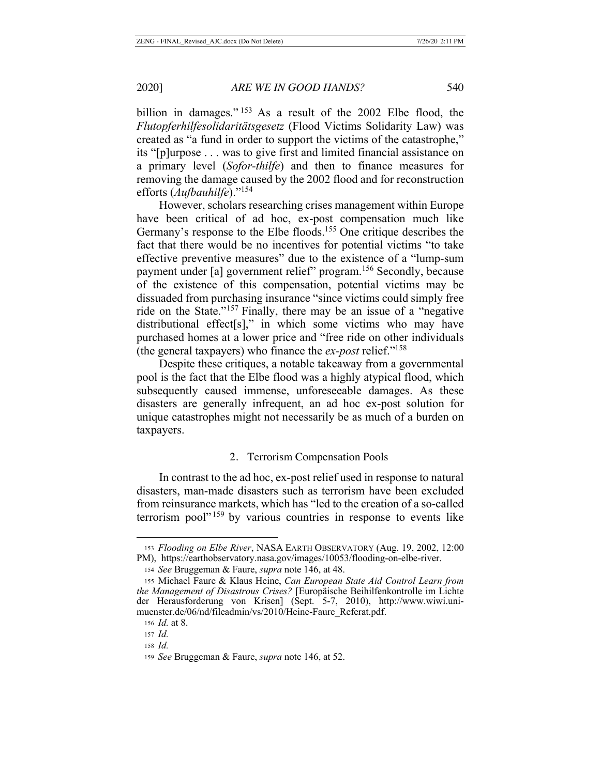billion in damages."<sup>153</sup> As a result of the 2002 Elbe flood, the *Flutopferhilfesolidaritätsgesetz* (Flood Victims Solidarity Law) was created as "a fund in order to support the victims of the catastrophe," its "[p]urpose . . . was to give first and limited financial assistance on a primary level (*Sofor-thilfe*) and then to finance measures for removing the damage caused by the 2002 flood and for reconstruction efforts (*Aufbauhilfe*)."154

However, scholars researching crises management within Europe have been critical of ad hoc, ex-post compensation much like Germany's response to the Elbe floods.<sup>155</sup> One critique describes the fact that there would be no incentives for potential victims "to take effective preventive measures" due to the existence of a "lump-sum payment under [a] government relief" program.156 Secondly, because of the existence of this compensation, potential victims may be dissuaded from purchasing insurance "since victims could simply free ride on the State."157 Finally, there may be an issue of a "negative distributional effect[s]," in which some victims who may have purchased homes at a lower price and "free ride on other individuals (the general taxpayers) who finance the *ex-post* relief."158

Despite these critiques, a notable takeaway from a governmental pool is the fact that the Elbe flood was a highly atypical flood, which subsequently caused immense, unforeseeable damages. As these disasters are generally infrequent, an ad hoc ex-post solution for unique catastrophes might not necessarily be as much of a burden on taxpayers.

# 2. Terrorism Compensation Pools

In contrast to the ad hoc, ex-post relief used in response to natural disasters, man-made disasters such as terrorism have been excluded from reinsurance markets, which has "led to the creation of a so-called terrorism pool" 159 by various countries in response to events like

<sup>153</sup> *Flooding on Elbe River*, NASA EARTH OBSERVATORY (Aug. 19, 2002, 12:00 PM), https://earthobservatory.nasa.gov/images/10053/flooding-on-elbe-river.

<sup>154</sup> *See* Bruggeman & Faure, *supra* note 146, at 48.

<sup>155</sup> Michael Faure & Klaus Heine, *Can European State Aid Control Learn from the Management of Disastrous Crises?* [Europäische Beihilfenkontrolle im Lichte der Herausforderung von Krisen] (Sept. 5-7, 2010), http://www.wiwi.unimuenster.de/06/nd/fileadmin/vs/2010/Heine-Faure\_Referat.pdf.

<sup>156</sup> *Id.* at 8.

<sup>157</sup> *Id.*

<sup>158</sup> *Id.*

<sup>159</sup> *See* Bruggeman & Faure, *supra* note 146, at 52.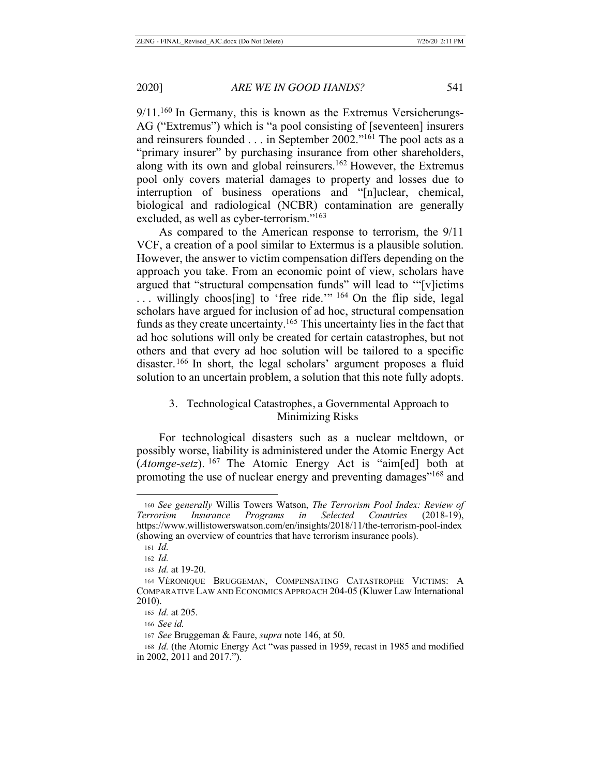$9/11<sup>160</sup>$  In Germany, this is known as the Extremus Versicherungs-AG ("Extremus") which is "a pool consisting of [seventeen] insurers and reinsurers founded . . . in September 2002."161 The pool acts as a "primary insurer" by purchasing insurance from other shareholders, along with its own and global reinsurers.<sup>162</sup> However, the Extremus pool only covers material damages to property and losses due to interruption of business operations and "[n]uclear, chemical, biological and radiological (NCBR) contamination are generally excluded, as well as cyber-terrorism."<sup>163</sup>

As compared to the American response to terrorism, the 9/11 VCF, a creation of a pool similar to Extermus is a plausible solution. However, the answer to victim compensation differs depending on the approach you take. From an economic point of view, scholars have argued that "structural compensation funds" will lead to '"[v]ictims  $\ldots$  willingly choos[ing] to 'free ride.'" <sup>164</sup> On the flip side, legal scholars have argued for inclusion of ad hoc, structural compensation funds as they create uncertainty.165 This uncertainty lies in the fact that ad hoc solutions will only be created for certain catastrophes, but not others and that every ad hoc solution will be tailored to a specific disaster.<sup>166</sup> In short, the legal scholars' argument proposes a fluid solution to an uncertain problem, a solution that this note fully adopts.

# 3. Technological Catastrophes, a Governmental Approach to Minimizing Risks

For technological disasters such as a nuclear meltdown, or possibly worse, liability is administered under the Atomic Energy Act (*Atomge-setz*). 167 The Atomic Energy Act is "aim[ed] both at promoting the use of nuclear energy and preventing damages"<sup>168</sup> and

<sup>160</sup> *See generally* Willis Towers Watson, *The Terrorism Pool Index: Review of Terrorism Insurance Programs in Selected Countries* (2018-19), https://www.willistowerswatson.com/en/insights/2018/11/the-terrorism-pool-index (showing an overview of countries that have terrorism insurance pools).

<sup>161</sup> *Id.*

<sup>162</sup> *Id.*

<sup>163</sup> *Id.* at 19-20.

<sup>164</sup> VÉRONIQUE BRUGGEMAN, COMPENSATING CATASTROPHE VICTIMS: A COMPARATIVE LAW AND ECONOMICS APPROACH 204-05 (Kluwer Law International 2010).

<sup>165</sup> *Id.* at 205.

<sup>166</sup> *See id.*

<sup>167</sup> *See* Bruggeman & Faure, *supra* note 146, at 50.

<sup>168</sup> *Id.* (the Atomic Energy Act "was passed in 1959, recast in 1985 and modified in 2002, 2011 and 2017.").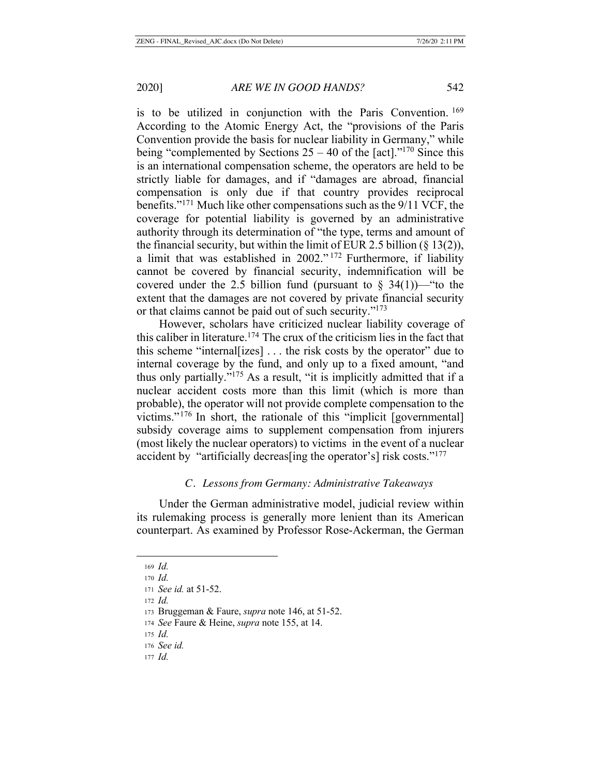is to be utilized in conjunction with the Paris Convention. <sup>169</sup> According to the Atomic Energy Act, the "provisions of the Paris Convention provide the basis for nuclear liability in Germany," while being "complemented by Sections  $25 - 40$  of the [act]."<sup>170</sup> Since this is an international compensation scheme, the operators are held to be strictly liable for damages, and if "damages are abroad, financial compensation is only due if that country provides reciprocal benefits."171 Much like other compensations such as the 9/11 VCF, the coverage for potential liability is governed by an administrative authority through its determination of "the type, terms and amount of the financial security, but within the limit of EUR 2.5 billion (§ 13(2)), a limit that was established in 2002."<sup>172</sup> Furthermore, if liability cannot be covered by financial security, indemnification will be covered under the 2.5 billion fund (pursuant to  $\S$  34(1))— "to the extent that the damages are not covered by private financial security or that claims cannot be paid out of such security."173

However, scholars have criticized nuclear liability coverage of this caliber in literature.<sup>174</sup> The crux of the criticism lies in the fact that this scheme "internal[izes] . . . the risk costs by the operator" due to internal coverage by the fund, and only up to a fixed amount, "and thus only partially."175 As a result, "it is implicitly admitted that if a nuclear accident costs more than this limit (which is more than probable), the operator will not provide complete compensation to the victims."176 In short, the rationale of this "implicit [governmental] subsidy coverage aims to supplement compensation from injurers (most likely the nuclear operators) to victims in the event of a nuclear accident by "artificially decreas[ing the operator's] risk costs."177

## *C. Lessons from Germany: Administrative Takeaways*

Under the German administrative model, judicial review within its rulemaking process is generally more lenient than its American counterpart. As examined by Professor Rose-Ackerman, the German

<sup>169</sup> *Id.*

<sup>170</sup> *Id.*

<sup>171</sup> *See id.* at 51-52.

<sup>172</sup> *Id.*

<sup>173</sup> Bruggeman & Faure, *supra* note 146, at 51-52.

<sup>174</sup> *See* Faure & Heine, *supra* note 155, at 14.

<sup>175</sup> *Id.*

<sup>176</sup> *See id.*

<sup>177</sup> *Id.*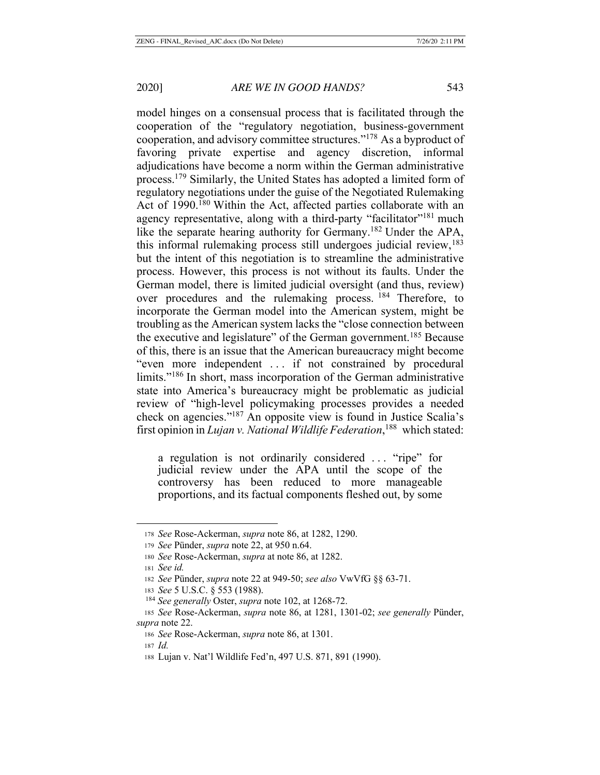model hinges on a consensual process that is facilitated through the cooperation of the "regulatory negotiation, business-government cooperation, and advisory committee structures."178 As a byproduct of favoring private expertise and agency discretion, informal adjudications have become a norm within the German administrative process.179 Similarly, the United States has adopted a limited form of regulatory negotiations under the guise of the Negotiated Rulemaking Act of 1990.<sup>180</sup> Within the Act, affected parties collaborate with an agency representative, along with a third-party "facilitator"<sup>181</sup> much like the separate hearing authority for Germany.<sup>182</sup> Under the APA, this informal rulemaking process still undergoes judicial review,  $183$ but the intent of this negotiation is to streamline the administrative process. However, this process is not without its faults. Under the German model, there is limited judicial oversight (and thus, review) over procedures and the rulemaking process. <sup>184</sup> Therefore, to incorporate the German model into the American system, might be troubling as the American system lacks the "close connection between the executive and legislature" of the German government.<sup>185</sup> Because of this, there is an issue that the American bureaucracy might become "even more independent . . . if not constrained by procedural limits."186 In short, mass incorporation of the German administrative state into America's bureaucracy might be problematic as judicial review of "high-level policymaking processes provides a needed check on agencies."187 An opposite view is found in Justice Scalia's first opinion in *Lujan v. National Wildlife Federation*, 188 which stated:

a regulation is not ordinarily considered ... "ripe" for judicial review under the APA until the scope of the controversy has been reduced to more manageable proportions, and its factual components fleshed out, by some

<sup>178</sup> *See* Rose-Ackerman, *supra* note 86, at 1282, 1290.

<sup>179</sup> *See* Pünder, *supra* note 22, at 950 n.64.

<sup>180</sup> *See* Rose-Ackerman, *supra* at note 86, at 1282.

<sup>181</sup> *See id.*

<sup>182</sup> *See* Pünder, *supra* note 22 at 949-50; *see also* VwVfG §§ 63-71.

<sup>183</sup> *See* 5 U.S.C. § 553 (1988).

<sup>184</sup> *See generally* Oster, *supra* note 102, at 1268-72.

<sup>185</sup> *See* Rose-Ackerman, *supra* note 86, at 1281, 1301-02; *see generally* Pünder, *supra* note 22.

<sup>186</sup> *See* Rose-Ackerman, *supra* note 86, at 1301.

<sup>187</sup> *Id.*

<sup>188</sup> Lujan v. Nat'l Wildlife Fed'n, 497 U.S. 871, 891 (1990).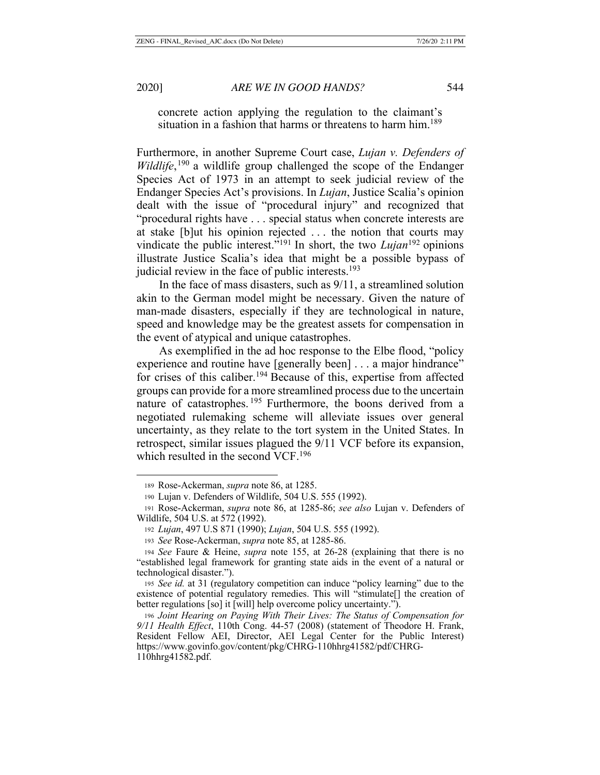concrete action applying the regulation to the claimant's situation in a fashion that harms or threatens to harm him.<sup>189</sup>

Furthermore, in another Supreme Court case, *Lujan v. Defenders of*  Wildlife,<sup>190</sup> a wildlife group challenged the scope of the Endanger Species Act of 1973 in an attempt to seek judicial review of the Endanger Species Act's provisions. In *Lujan*, Justice Scalia's opinion dealt with the issue of "procedural injury" and recognized that "procedural rights have . . . special status when concrete interests are at stake [b]ut his opinion rejected . . . the notion that courts may vindicate the public interest."<sup>191</sup> In short, the two *Lujan*<sup>192</sup> opinions illustrate Justice Scalia's idea that might be a possible bypass of judicial review in the face of public interests. $193$ 

In the face of mass disasters, such as 9/11, a streamlined solution akin to the German model might be necessary. Given the nature of man-made disasters, especially if they are technological in nature, speed and knowledge may be the greatest assets for compensation in the event of atypical and unique catastrophes.

As exemplified in the ad hoc response to the Elbe flood, "policy experience and routine have [generally been] . . . a major hindrance" for crises of this caliber.194 Because of this, expertise from affected groups can provide for a more streamlined process due to the uncertain nature of catastrophes.<sup>195</sup> Furthermore, the boons derived from a negotiated rulemaking scheme will alleviate issues over general uncertainty, as they relate to the tort system in the United States. In retrospect, similar issues plagued the 9/11 VCF before its expansion, which resulted in the second VCF.<sup>196</sup>

<sup>189</sup> Rose-Ackerman, *supra* note 86, at 1285.

<sup>190</sup> Lujan v. Defenders of Wildlife, 504 U.S. 555 (1992).

<sup>191</sup> Rose-Ackerman, *supra* note 86, at 1285-86; *see also* Lujan v. Defenders of Wildlife, 504 U.S. at 572 (1992).

<sup>192</sup> *Lujan*, 497 U.S 871 (1990); *Lujan*, 504 U.S. 555 (1992).

<sup>193</sup> *See* Rose-Ackerman, *supra* note 85, at 1285-86.

<sup>194</sup> *See* Faure & Heine, *supra* note 155, at 26-28 (explaining that there is no "established legal framework for granting state aids in the event of a natural or technological disaster.").

<sup>195</sup> *See id.* at 31 (regulatory competition can induce "policy learning" due to the existence of potential regulatory remedies. This will "stimulate[] the creation of better regulations [so] it [will] help overcome policy uncertainty.").

<sup>196</sup> *Joint Hearing on Paying With Their Lives: The Status of Compensation for 9/11 Health Effect*, 110th Cong. 44-57 (2008) (statement of Theodore H. Frank, Resident Fellow AEI, Director, AEI Legal Center for the Public Interest) https://www.govinfo.gov/content/pkg/CHRG-110hhrg41582/pdf/CHRG-110hhrg41582.pdf.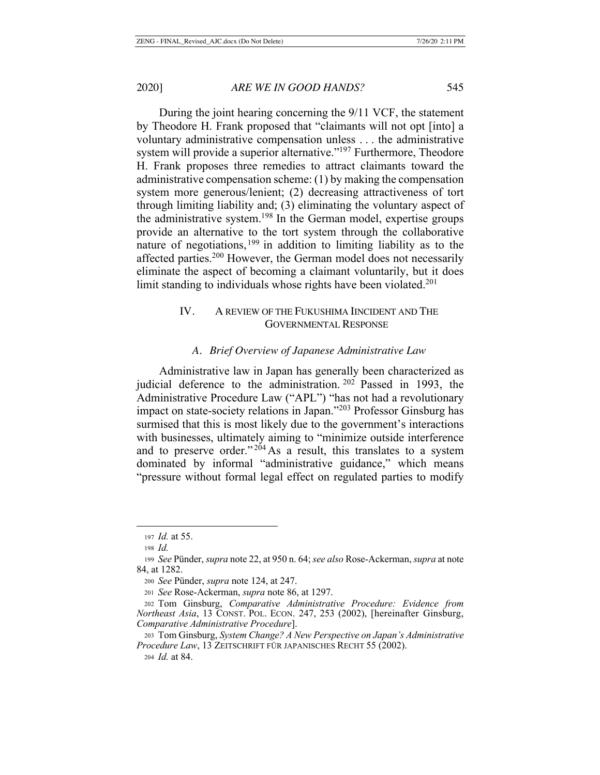During the joint hearing concerning the 9/11 VCF, the statement by Theodore H. Frank proposed that "claimants will not opt [into] a voluntary administrative compensation unless . . . the administrative system will provide a superior alternative."<sup>197</sup> Furthermore, Theodore H. Frank proposes three remedies to attract claimants toward the administrative compensation scheme: (1) by making the compensation system more generous/lenient; (2) decreasing attractiveness of tort through limiting liability and; (3) eliminating the voluntary aspect of the administrative system.<sup>198</sup> In the German model, expertise groups provide an alternative to the tort system through the collaborative nature of negotiations,  $199$  in addition to limiting liability as to the affected parties.<sup>200</sup> However, the German model does not necessarily eliminate the aspect of becoming a claimant voluntarily, but it does limit standing to individuals whose rights have been violated.<sup>201</sup>

# IV. A REVIEW OF THE FUKUSHIMA IINCIDENT AND THE GOVERNMENTAL RESPONSE

#### *A. Brief Overview of Japanese Administrative Law*

Administrative law in Japan has generally been characterized as judicial deference to the administration. 202 Passed in 1993, the Administrative Procedure Law ("APL") "has not had a revolutionary impact on state-society relations in Japan."203 Professor Ginsburg has surmised that this is most likely due to the government's interactions with businesses, ultimately aiming to "minimize outside interference and to preserve order."<sup>204</sup> As a result, this translates to a system dominated by informal "administrative guidance," which means "pressure without formal legal effect on regulated parties to modify

<sup>197</sup> *Id.* at 55.

<sup>198</sup> *Id.*

<sup>199</sup> *See* Pünder, *supra* note 22, at 950 n. 64; *see also* Rose-Ackerman, *supra* at note 84, at 1282.

<sup>200</sup> *See* Pünder, *supra* note 124, at 247.

<sup>201</sup> *See* Rose-Ackerman, *supra* note 86, at 1297.

<sup>202</sup> Tom Ginsburg, *Comparative Administrative Procedure: Evidence from Northeast Asia*, 13 CONST. POL. ECON. 247, 253 (2002), [hereinafter Ginsburg, *Comparative Administrative Procedure*].

<sup>203</sup> Tom Ginsburg, *System Change? A New Perspective on Japan's Administrative Procedure Law*, 13 ZEITSCHRIFT FÜR JAPANISCHES RECHT 55 (2002).

<sup>204</sup> *Id.* at 84.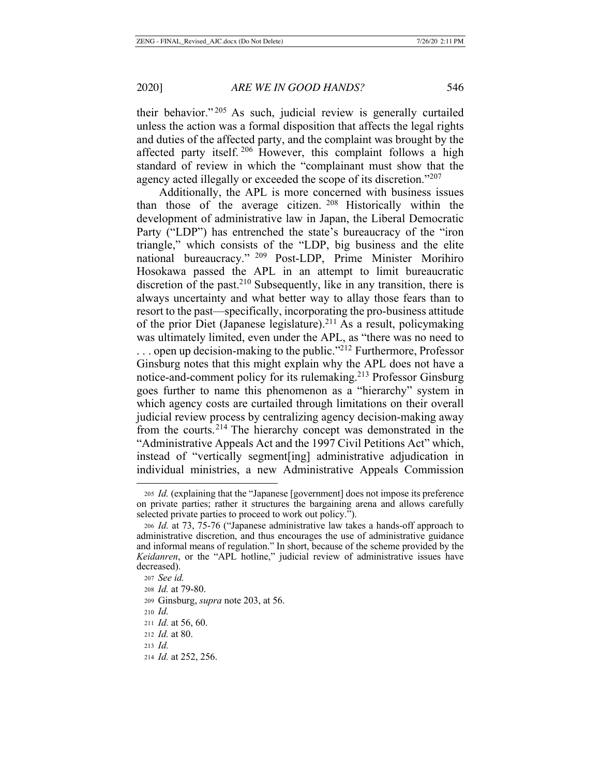their behavior." 205 As such, judicial review is generally curtailed unless the action was a formal disposition that affects the legal rights and duties of the affected party, and the complaint was brought by the affected party itself. 206 However, this complaint follows a high standard of review in which the "complainant must show that the agency acted illegally or exceeded the scope of its discretion."207

Additionally, the APL is more concerned with business issues than those of the average citizen.  $208$  Historically within the development of administrative law in Japan, the Liberal Democratic Party ("LDP") has entrenched the state's bureaucracy of the "iron triangle," which consists of the "LDP, big business and the elite national bureaucracy." 209 Post-LDP, Prime Minister Morihiro Hosokawa passed the APL in an attempt to limit bureaucratic discretion of the past.<sup>210</sup> Subsequently, like in any transition, there is always uncertainty and what better way to allay those fears than to resort to the past—specifically, incorporating the pro-business attitude of the prior Diet (Japanese legislature).<sup>211</sup> As a result, policymaking was ultimately limited, even under the APL, as "there was no need to  $\ldots$  open up decision-making to the public."<sup>212</sup> Furthermore, Professor Ginsburg notes that this might explain why the APL does not have a notice-and-comment policy for its rulemaking.<sup>213</sup> Professor Ginsburg goes further to name this phenomenon as a "hierarchy" system in which agency costs are curtailed through limitations on their overall judicial review process by centralizing agency decision-making away from the courts.214 The hierarchy concept was demonstrated in the "Administrative Appeals Act and the 1997 Civil Petitions Act" which, instead of "vertically segment[ing] administrative adjudication in individual ministries, a new Administrative Appeals Commission

<sup>205</sup> *Id.* (explaining that the "Japanese [government] does not impose its preference on private parties; rather it structures the bargaining arena and allows carefully selected private parties to proceed to work out policy.").

<sup>206</sup> *Id.* at 73, 75-76 ("Japanese administrative law takes a hands-off approach to administrative discretion, and thus encourages the use of administrative guidance and informal means of regulation." In short, because of the scheme provided by the *Keidanren*, or the "APL hotline," judicial review of administrative issues have decreased).

<sup>207</sup> *See id.*

<sup>208</sup> *Id.* at 79-80.

<sup>209</sup> Ginsburg, *supra* note 203, at 56.

<sup>210</sup> *Id.*

<sup>211</sup> *Id.* at 56, 60.

<sup>212</sup> *Id.* at 80.

<sup>213</sup> *Id.*

<sup>214</sup> *Id.* at 252, 256.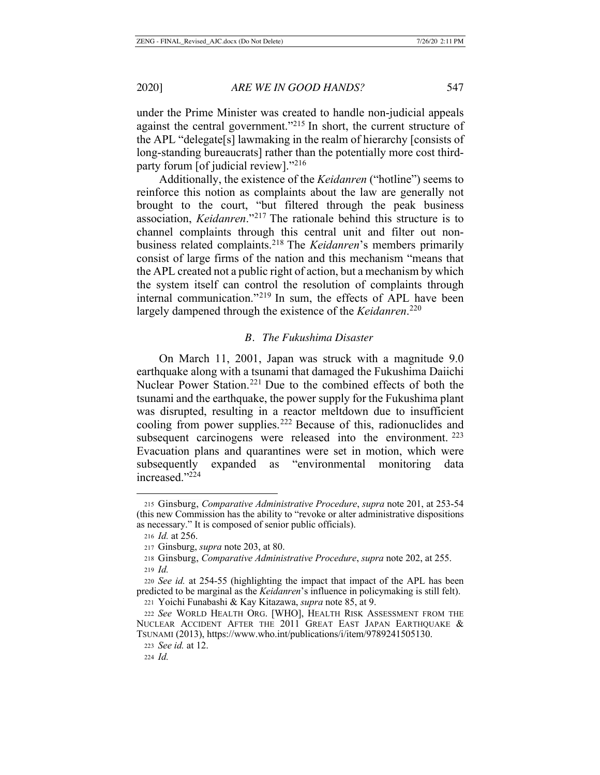under the Prime Minister was created to handle non-judicial appeals against the central government."<sup>215</sup> In short, the current structure of the APL "delegate[s] lawmaking in the realm of hierarchy [consists of long-standing bureaucrats] rather than the potentially more cost thirdparty forum [of judicial review]."216

Additionally, the existence of the *Keidanren* ("hotline") seems to reinforce this notion as complaints about the law are generally not brought to the court, "but filtered through the peak business association, *Keidanren*."217 The rationale behind this structure is to channel complaints through this central unit and filter out nonbusiness related complaints.218 The *Keidanren*'s members primarily consist of large firms of the nation and this mechanism "means that the APL created not a public right of action, but a mechanism by which the system itself can control the resolution of complaints through internal communication."<sup>219</sup> In sum, the effects of APL have been largely dampened through the existence of the *Keidanren*. 220

#### *B. The Fukushima Disaster*

On March 11, 2001, Japan was struck with a magnitude 9.0 earthquake along with a tsunami that damaged the Fukushima Daiichi Nuclear Power Station.<sup>221</sup> Due to the combined effects of both the tsunami and the earthquake, the power supply for the Fukushima plant was disrupted, resulting in a reactor meltdown due to insufficient cooling from power supplies.222 Because of this, radionuclides and subsequent carcinogens were released into the environment. <sup>223</sup> Evacuation plans and quarantines were set in motion, which were subsequently expanded as "environmental monitoring data increased."224

<sup>215</sup> Ginsburg, *Comparative Administrative Procedure*, *supra* note 201, at 253-54 (this new Commission has the ability to "revoke or alter administrative dispositions as necessary." It is composed of senior public officials).

<sup>216</sup> *Id.* at 256.

<sup>217</sup> Ginsburg, *supra* note 203, at 80.

<sup>218</sup> Ginsburg, *Comparative Administrative Procedure*, *supra* note 202, at 255. <sup>219</sup> *Id.*

<sup>220</sup> *See id.* at 254-55 (highlighting the impact that impact of the APL has been predicted to be marginal as the *Keidanren*'s influence in policymaking is still felt). <sup>221</sup> Yoichi Funabashi & Kay Kitazawa, *supra* note 85, at 9.

<sup>222</sup> *See* WORLD HEALTH ORG. [WHO], HEALTH RISK ASSESSMENT FROM THE NUCLEAR ACCIDENT AFTER THE 2011 GREAT EAST JAPAN EARTHQUAKE & TSUNAMI (2013), https://www.who.int/publications/i/item/9789241505130.

<sup>223</sup> *See id.* at 12.

<sup>224</sup> *Id.*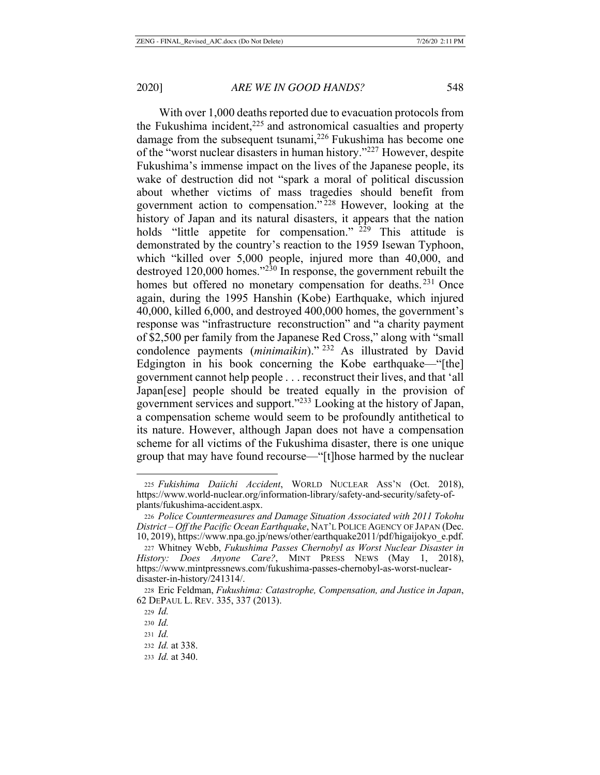With over 1,000 deaths reported due to evacuation protocols from the Fukushima incident, $225$  and astronomical casualties and property damage from the subsequent tsunami,<sup>226</sup> Fukushima has become one of the "worst nuclear disasters in human history."227 However, despite Fukushima's immense impact on the lives of the Japanese people, its wake of destruction did not "spark a moral of political discussion about whether victims of mass tragedies should benefit from government action to compensation." 228 However, looking at the history of Japan and its natural disasters, it appears that the nation holds "little appetite for compensation."  $229$  This attitude is demonstrated by the country's reaction to the 1959 Isewan Typhoon, which "killed over 5,000 people, injured more than 40,000, and destroyed 120,000 homes."230 In response, the government rebuilt the homes but offered no monetary compensation for deaths.<sup>231</sup> Once again, during the 1995 Hanshin (Kobe) Earthquake, which injured 40,000, killed 6,000, and destroyed 400,000 homes, the government's response was "infrastructure reconstruction" and "a charity payment of \$2,500 per family from the Japanese Red Cross," along with "small condolence payments (*minimaikin*)." 232 As illustrated by David Edgington in his book concerning the Kobe earthquake—"[the] government cannot help people . . . reconstruct their lives, and that 'all Japan[ese] people should be treated equally in the provision of government services and support."233 Looking at the history of Japan, a compensation scheme would seem to be profoundly antithetical to its nature. However, although Japan does not have a compensation scheme for all victims of the Fukushima disaster, there is one unique group that may have found recourse—"[t]hose harmed by the nuclear

<sup>225</sup> *Fukishima Daiichi Accident*, WORLD NUCLEAR ASS'N (Oct. 2018), https://www.world-nuclear.org/information-library/safety-and-security/safety-ofplants/fukushima-accident.aspx.

<sup>226</sup> *Police Countermeasures and Damage Situation Associated with 2011 Tokohu District – Off the Pacific Ocean Earthquake*, NAT'L POLICE AGENCY OF JAPAN (Dec. 10, 2019), https://www.npa.go.jp/news/other/earthquake2011/pdf/higaijokyo\_e.pdf.

<sup>227</sup> Whitney Webb, *Fukushima Passes Chernobyl as Worst Nuclear Disaster in History: Does Anyone Care?*, MINT PRESS NEWS (May 1, 2018), https://www.mintpressnews.com/fukushima-passes-chernobyl-as-worst-nucleardisaster-in-history/241314/.

<sup>228</sup> Eric Feldman, *Fukushima: Catastrophe, Compensation, and Justice in Japan*, 62 DEPAUL L. REV. 335, 337 (2013).

<sup>229</sup> *Id.*

<sup>230</sup> *Id.*

<sup>231</sup> *Id.*

<sup>232</sup> *Id.* at 338.

<sup>233</sup> *Id.* at 340.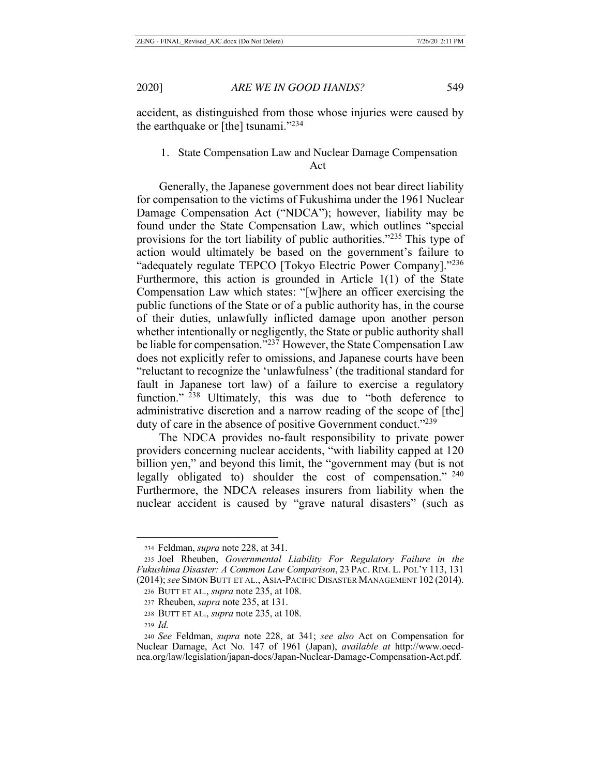accident, as distinguished from those whose injuries were caused by the earthquake or [the] tsunami." $^{234}$ 

# 1. State Compensation Law and Nuclear Damage Compensation Act

Generally, the Japanese government does not bear direct liability for compensation to the victims of Fukushima under the 1961 Nuclear Damage Compensation Act ("NDCA"); however, liability may be found under the State Compensation Law, which outlines "special provisions for the tort liability of public authorities."235 This type of action would ultimately be based on the government's failure to "adequately regulate TEPCO [Tokyo Electric Power Company]."<sup>236</sup> Furthermore, this action is grounded in Article 1(1) of the State Compensation Law which states: "[w]here an officer exercising the public functions of the State or of a public authority has, in the course of their duties, unlawfully inflicted damage upon another person whether intentionally or negligently, the State or public authority shall be liable for compensation."237 However, the State Compensation Law does not explicitly refer to omissions, and Japanese courts have been "reluctant to recognize the 'unlawfulness' (the traditional standard for fault in Japanese tort law) of a failure to exercise a regulatory function." <sup>238</sup> Ultimately, this was due to "both deference to administrative discretion and a narrow reading of the scope of [the] duty of care in the absence of positive Government conduct."<sup>239</sup>

The NDCA provides no-fault responsibility to private power providers concerning nuclear accidents, "with liability capped at 120 billion yen," and beyond this limit, the "government may (but is not legally obligated to) shoulder the cost of compensation." <sup>240</sup> Furthermore, the NDCA releases insurers from liability when the nuclear accident is caused by "grave natural disasters" (such as

<sup>234</sup> Feldman, *supra* note 228, at 341.

<sup>235</sup> Joel Rheuben, *Governmental Liability For Regulatory Failure in the Fukushima Disaster: A Common Law Comparison*, 23 PAC. RIM. L. POL'Y 113, 131 (2014); *see* SIMON BUTT ET AL., ASIA-PACIFIC DISASTER MANAGEMENT 102 (2014). 236 BUTT ET AL., *supra* note 235, at 108.

<sup>237</sup> Rheuben, *supra* note 235, at 131.

<sup>238</sup> BUTT ET AL., *supra* note 235, at 108.

<sup>239</sup> *Id.*

<sup>240</sup> *See* Feldman, *supra* note 228, at 341; *see also* Act on Compensation for Nuclear Damage, Act No. 147 of 1961 (Japan), *available at* http://www.oecdnea.org/law/legislation/japan-docs/Japan-Nuclear-Damage-Compensation-Act.pdf.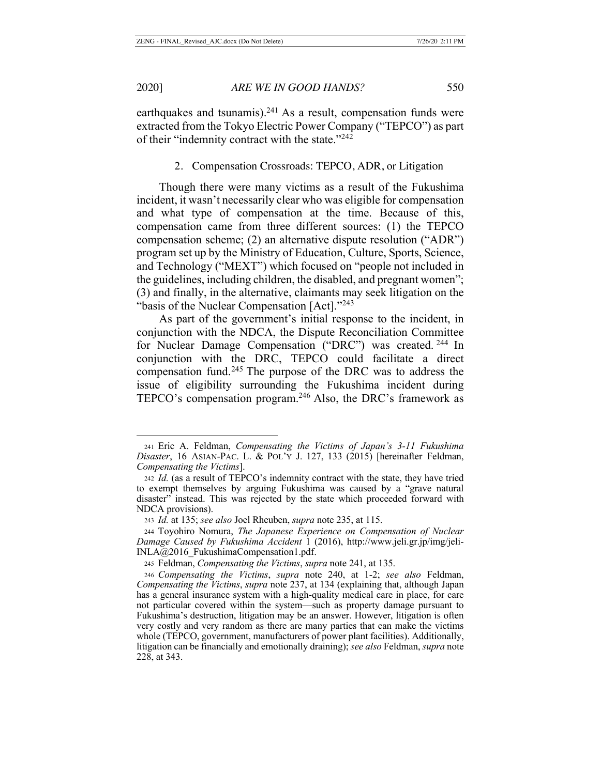earthquakes and tsunamis).<sup>241</sup> As a result, compensation funds were extracted from the Tokyo Electric Power Company ("TEPCO") as part of their "indemnity contract with the state."242

#### 2. Compensation Crossroads: TEPCO, ADR, or Litigation

Though there were many victims as a result of the Fukushima incident, it wasn't necessarily clear who was eligible for compensation and what type of compensation at the time. Because of this, compensation came from three different sources: (1) the TEPCO compensation scheme; (2) an alternative dispute resolution ("ADR") program set up by the Ministry of Education, Culture, Sports, Science, and Technology ("MEXT") which focused on "people not included in the guidelines, including children, the disabled, and pregnant women"; (3) and finally, in the alternative, claimants may seek litigation on the "basis of the Nuclear Compensation [Act]."<sup>243</sup>

As part of the government's initial response to the incident, in conjunction with the NDCA, the Dispute Reconciliation Committee for Nuclear Damage Compensation ("DRC") was created. 244 In conjunction with the DRC, TEPCO could facilitate a direct compensation fund.245 The purpose of the DRC was to address the issue of eligibility surrounding the Fukushima incident during TEPCO's compensation program.246 Also, the DRC's framework as

<sup>241</sup> Eric A. Feldman, *Compensating the Victims of Japan's 3-11 Fukushima Disaster*, 16 ASIAN-PAC. L. & POL'Y J. 127, 133 (2015) [hereinafter Feldman, *Compensating the Victims*].

<sup>242</sup> *Id.* (as a result of TEPCO's indemnity contract with the state, they have tried to exempt themselves by arguing Fukushima was caused by a "grave natural disaster" instead. This was rejected by the state which proceeded forward with NDCA provisions).

<sup>243</sup> *Id.* at 135; *see also* Joel Rheuben, *supra* note 235, at 115.

<sup>244</sup> Toyohiro Nomura, *The Japanese Experience on Compensation of Nuclear Damage Caused by Fukushima Accident* 1 (2016), http://www.jeli.gr.jp/img/jeli-INLA@2016\_FukushimaCompensation1.pdf.

<sup>245</sup> Feldman, *Compensating the Victims*, *supra* note 241, at 135.

<sup>246</sup> *Compensating the Victims*, *supra* note 240, at 1-2; *see also* Feldman, *Compensating the Victims*, *supra* note 237, at 134 (explaining that, although Japan has a general insurance system with a high-quality medical care in place, for care not particular covered within the system—such as property damage pursuant to Fukushima's destruction, litigation may be an answer. However, litigation is often very costly and very random as there are many parties that can make the victims whole (TEPCO, government, manufacturers of power plant facilities). Additionally, litigation can be financially and emotionally draining); *see also* Feldman, *supra* note 228, at 343.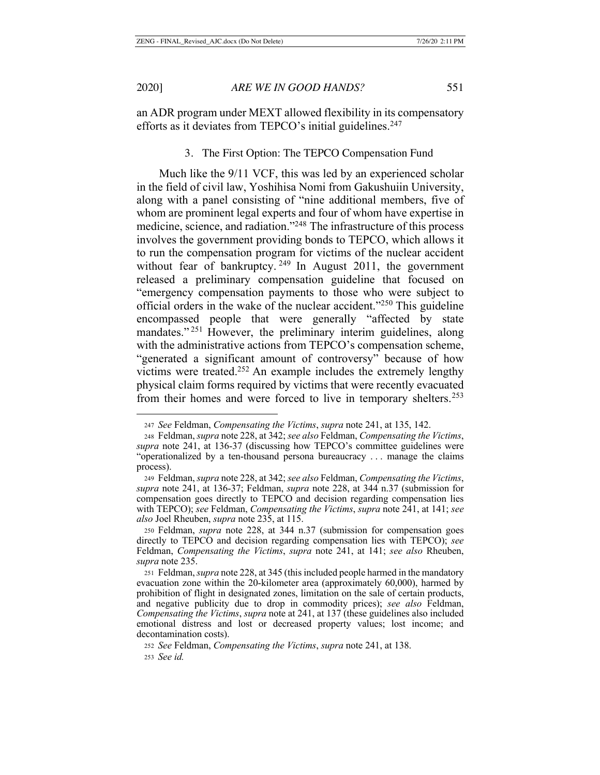an ADR program under MEXT allowed flexibility in its compensatory efforts as it deviates from TEPCO's initial guidelines.<sup>247</sup>

#### 3. The First Option: The TEPCO Compensation Fund

Much like the 9/11 VCF, this was led by an experienced scholar in the field of civil law, Yoshihisa Nomi from Gakushuiin University, along with a panel consisting of "nine additional members, five of whom are prominent legal experts and four of whom have expertise in medicine, science, and radiation."248 The infrastructure of this process involves the government providing bonds to TEPCO, which allows it to run the compensation program for victims of the nuclear accident without fear of bankruptcy.<sup>249</sup> In August 2011, the government released a preliminary compensation guideline that focused on "emergency compensation payments to those who were subject to official orders in the wake of the nuclear accident."250 This guideline encompassed people that were generally "affected by state mandates."<sup>251</sup> However, the preliminary interim guidelines, along with the administrative actions from TEPCO's compensation scheme, "generated a significant amount of controversy" because of how victims were treated.252 An example includes the extremely lengthy physical claim forms required by victims that were recently evacuated from their homes and were forced to live in temporary shelters.<sup>253</sup>

<sup>247</sup> *See* Feldman, *Compensating the Victims*, *supra* note 241, at 135, 142.

<sup>248</sup> Feldman, *supra* note 228, at 342; *see also* Feldman, *Compensating the Victims*, *supra* note 241, at 136-37 (discussing how TEPCO's committee guidelines were "operationalized by a ten-thousand persona bureaucracy . . . manage the claims process).

<sup>249</sup> Feldman, *supra* note 228, at 342; *see also* Feldman, *Compensating the Victims*, *supra* note 241, at 136-37; Feldman, *supra* note 228, at 344 n.37 (submission for compensation goes directly to TEPCO and decision regarding compensation lies with TEPCO); *see* Feldman, *Compensating the Victims*, *supra* note 241, at 141; *see also* Joel Rheuben, *supra* note 235, at 115.

<sup>250</sup> Feldman, *supra* note 228, at 344 n.37 (submission for compensation goes directly to TEPCO and decision regarding compensation lies with TEPCO); *see*  Feldman, *Compensating the Victims*, *supra* note 241, at 141; *see also* Rheuben, *supra* note 235.

<sup>251</sup> Feldman, *supra* note 228, at 345 (this included people harmed in the mandatory evacuation zone within the 20-kilometer area (approximately 60,000), harmed by prohibition of flight in designated zones, limitation on the sale of certain products, and negative publicity due to drop in commodity prices); *see also* Feldman, *Compensating the Victims*, *supra* note at 241, at 137 (these guidelines also included emotional distress and lost or decreased property values; lost income; and decontamination costs).

<sup>252</sup> *See* Feldman, *Compensating the Victims*, *supra* note 241, at 138. <sup>253</sup> *See id.*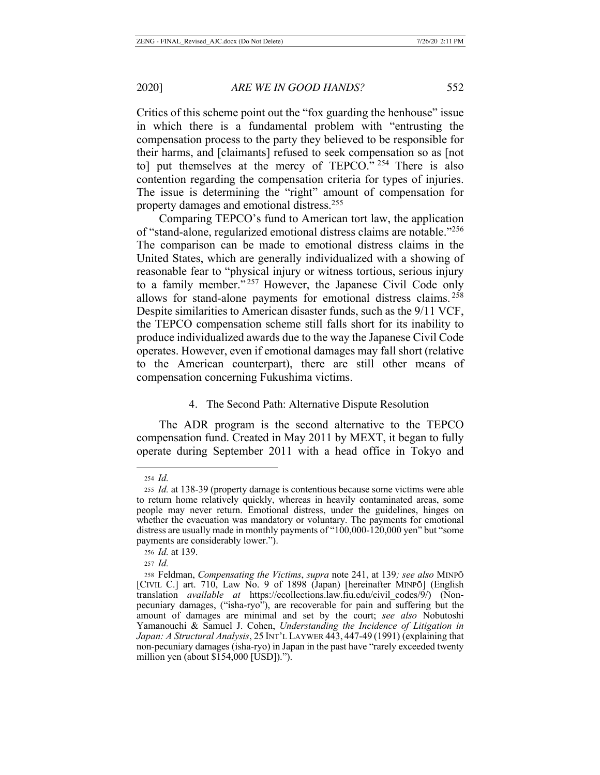Critics of this scheme point out the "fox guarding the henhouse" issue in which there is a fundamental problem with "entrusting the compensation process to the party they believed to be responsible for their harms, and [claimants] refused to seek compensation so as [not to] put themselves at the mercy of TEPCO."<sup>254</sup> There is also contention regarding the compensation criteria for types of injuries. The issue is determining the "right" amount of compensation for property damages and emotional distress.255

Comparing TEPCO's fund to American tort law, the application of "stand-alone, regularized emotional distress claims are notable."256 The comparison can be made to emotional distress claims in the United States, which are generally individualized with a showing of reasonable fear to "physical injury or witness tortious, serious injury to a family member."<sup>257</sup> However, the Japanese Civil Code only allows for stand-alone payments for emotional distress claims. <sup>258</sup> Despite similarities to American disaster funds, such as the 9/11 VCF, the TEPCO compensation scheme still falls short for its inability to produce individualized awards due to the way the Japanese Civil Code operates. However, even if emotional damages may fall short (relative to the American counterpart), there are still other means of compensation concerning Fukushima victims.

#### 4. The Second Path: Alternative Dispute Resolution

The ADR program is the second alternative to the TEPCO compensation fund. Created in May 2011 by MEXT, it began to fully operate during September 2011 with a head office in Tokyo and

<sup>254</sup> *Id.*

<sup>255</sup> *Id.* at 138-39 (property damage is contentious because some victims were able to return home relatively quickly, whereas in heavily contaminated areas, some people may never return. Emotional distress, under the guidelines, hinges on whether the evacuation was mandatory or voluntary. The payments for emotional distress are usually made in monthly payments of "100,000-120,000 yen" but "some payments are considerably lower.").

<sup>256</sup> *Id.* at 139.

<sup>257</sup> *Id.*

<sup>258</sup> Feldman, *Compensating the Victims*, *supra* note 241, at 139*; see also* MINPŌ [CIVIL C.] art. 710, Law No. 9 of 1898 (Japan) [hereinafter MINPŌ] (English translation *available at* https://ecollections.law.fiu.edu/civil\_codes/9/) (Nonpecuniary damages, ("isha-ryo"), are recoverable for pain and suffering but the amount of damages are minimal and set by the court; *see also* Nobutoshi Yamanouchi & Samuel J. Cohen, *Understanding the Incidence of Litigation in Japan: A Structural Analysis*, 25 INT'L LAYWER 443, 447-49 (1991) (explaining that non-pecuniary damages (isha-ryo) in Japan in the past have "rarely exceeded twenty million yen (about \$154,000 [USD]).").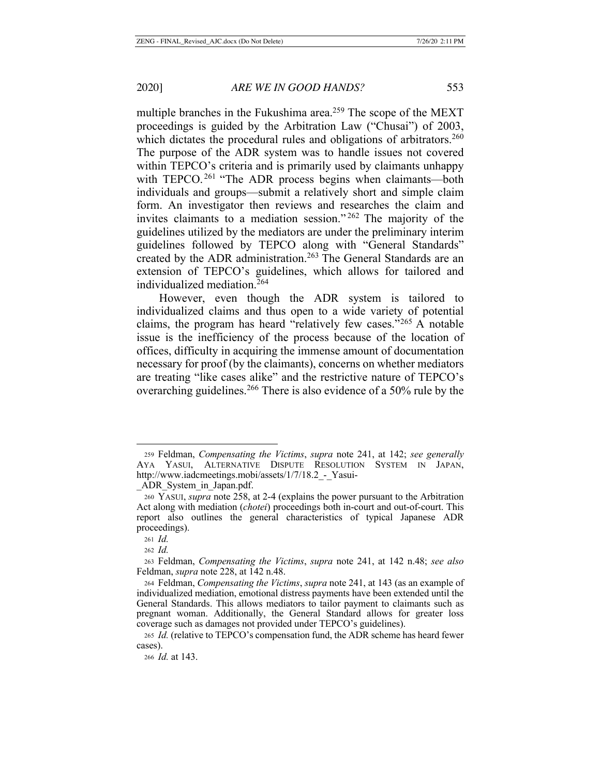multiple branches in the Fukushima area.<sup>259</sup> The scope of the MEXT proceedings is guided by the Arbitration Law ("Chusai") of 2003, which dictates the procedural rules and obligations of arbitrators.<sup>260</sup> The purpose of the ADR system was to handle issues not covered within TEPCO's criteria and is primarily used by claimants unhappy with TEPCO.<sup>261</sup> "The ADR process begins when claimants—both individuals and groups—submit a relatively short and simple claim form. An investigator then reviews and researches the claim and invites claimants to a mediation session." 262 The majority of the guidelines utilized by the mediators are under the preliminary interim guidelines followed by TEPCO along with "General Standards" created by the ADR administration.<sup>263</sup> The General Standards are an extension of TEPCO's guidelines, which allows for tailored and individualized mediation.264

However, even though the ADR system is tailored to individualized claims and thus open to a wide variety of potential claims, the program has heard "relatively few cases."265 A notable issue is the inefficiency of the process because of the location of offices, difficulty in acquiring the immense amount of documentation necessary for proof (by the claimants), concerns on whether mediators are treating "like cases alike" and the restrictive nature of TEPCO's overarching guidelines.266 There is also evidence of a 50% rule by the

\_ADR\_System\_in\_Japan.pdf.

<sup>266</sup> *Id.* at 143.

<sup>259</sup> Feldman, *Compensating the Victims*, *supra* note 241, at 142; *see generally*  AYA YASUI, ALTERNATIVE DISPUTE RESOLUTION SYSTEM IN JAPAN, http://www.iadcmeetings.mobi/assets/1/7/18.2 - Yasui-

<sup>260</sup> YASUI, *supra* note 258, at 2-4 (explains the power pursuant to the Arbitration Act along with mediation (*chotei*) proceedings both in-court and out-of-court. This report also outlines the general characteristics of typical Japanese ADR proceedings).

<sup>261</sup> *Id.*

<sup>262</sup> *Id.*

<sup>263</sup> Feldman, *Compensating the Victims*, *supra* note 241, at 142 n.48; *see also*  Feldman, *supra* note 228, at 142 n.48.

<sup>264</sup> Feldman, *Compensating the Victims*, *supra* note 241, at 143 (as an example of individualized mediation, emotional distress payments have been extended until the General Standards. This allows mediators to tailor payment to claimants such as pregnant woman. Additionally, the General Standard allows for greater loss coverage such as damages not provided under TEPCO's guidelines).

<sup>265</sup> *Id.* (relative to TEPCO's compensation fund, the ADR scheme has heard fewer cases).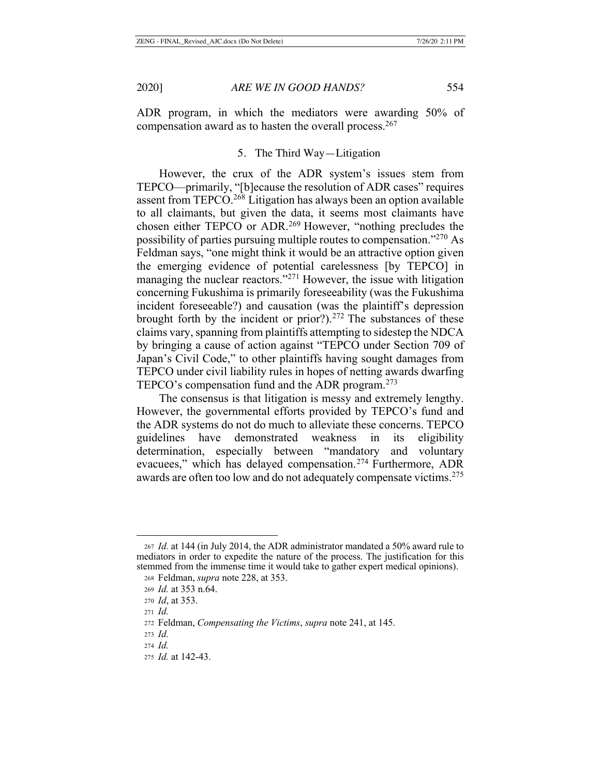ADR program, in which the mediators were awarding 50% of compensation award as to hasten the overall process.<sup>267</sup>

# 5. The Third Way—Litigation

However, the crux of the ADR system's issues stem from TEPCO—primarily, "[b]ecause the resolution of ADR cases" requires assent from TEPCO.268 Litigation has always been an option available to all claimants, but given the data, it seems most claimants have chosen either TEPCO or ADR.269 However, "nothing precludes the possibility of parties pursuing multiple routes to compensation."270 As Feldman says, "one might think it would be an attractive option given the emerging evidence of potential carelessness [by TEPCO] in managing the nuclear reactors."<sup>271</sup> However, the issue with litigation concerning Fukushima is primarily foreseeability (was the Fukushima incident foreseeable?) and causation (was the plaintiff's depression brought forth by the incident or prior?). $272$  The substances of these claims vary, spanning from plaintiffs attempting to sidestep the NDCA by bringing a cause of action against "TEPCO under Section 709 of Japan's Civil Code," to other plaintiffs having sought damages from TEPCO under civil liability rules in hopes of netting awards dwarfing TEPCO's compensation fund and the ADR program.<sup>273</sup>

The consensus is that litigation is messy and extremely lengthy. However, the governmental efforts provided by TEPCO's fund and the ADR systems do not do much to alleviate these concerns. TEPCO guidelines have demonstrated weakness in its eligibility determination, especially between "mandatory and voluntary evacuees," which has delayed compensation.274 Furthermore, ADR awards are often too low and do not adequately compensate victims.<sup>275</sup>

<sup>267</sup> *Id.* at 144 (in July 2014, the ADR administrator mandated a 50% award rule to mediators in order to expedite the nature of the process. The justification for this stemmed from the immense time it would take to gather expert medical opinions).

<sup>268</sup> Feldman, *supra* note 228, at 353.

<sup>269</sup> *Id.* at 353 n.64.

<sup>270</sup> *Id*, at 353.

<sup>271</sup> *Id.*

<sup>272</sup> Feldman, *Compensating the Victims*, *supra* note 241, at 145.

<sup>273</sup> *Id.*

<sup>274</sup> *Id.*

<sup>275</sup> *Id.* at 142-43.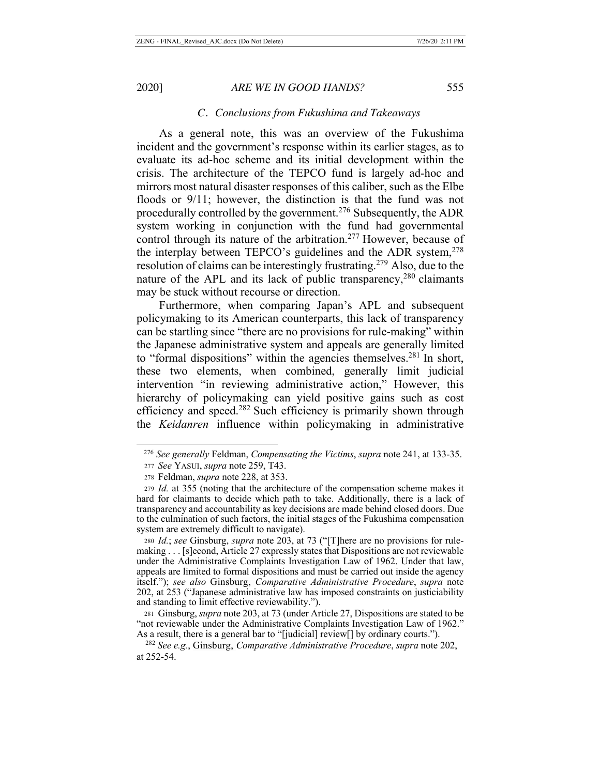### *C. Conclusions from Fukushima and Takeaways*

As a general note, this was an overview of the Fukushima incident and the government's response within its earlier stages, as to evaluate its ad-hoc scheme and its initial development within the crisis. The architecture of the TEPCO fund is largely ad-hoc and mirrors most natural disaster responses of this caliber, such as the Elbe floods or 9/11; however, the distinction is that the fund was not procedurally controlled by the government.<sup>276</sup> Subsequently, the ADR system working in conjunction with the fund had governmental control through its nature of the arbitration.<sup>277</sup> However, because of the interplay between TEPCO's guidelines and the ADR system, $278$ resolution of claims can be interestingly frustrating.279 Also, due to the nature of the APL and its lack of public transparency,  $280$  claimants may be stuck without recourse or direction.

Furthermore, when comparing Japan's APL and subsequent policymaking to its American counterparts, this lack of transparency can be startling since "there are no provisions for rule-making" within the Japanese administrative system and appeals are generally limited to "formal dispositions" within the agencies themselves.<sup>281</sup> In short, these two elements, when combined, generally limit judicial intervention "in reviewing administrative action," However, this hierarchy of policymaking can yield positive gains such as cost efficiency and speed.<sup>282</sup> Such efficiency is primarily shown through the *Keidanren* influence within policymaking in administrative

 <sup>276</sup> *See generally* Feldman, *Compensating the Victims*, *supra* note 241, at 133-35.

<sup>277</sup> *See* YASUI, *supra* note 259, T43.

<sup>278</sup> Feldman, *supra* note 228, at 353.

<sup>279</sup> *Id.* at 355 (noting that the architecture of the compensation scheme makes it hard for claimants to decide which path to take. Additionally, there is a lack of transparency and accountability as key decisions are made behind closed doors. Due to the culmination of such factors, the initial stages of the Fukushima compensation system are extremely difficult to navigate).

<sup>280</sup> *Id.*; *see* Ginsburg, *supra* note 203, at 73 ("[T]here are no provisions for rulemaking . . . [s]econd, Article 27 expressly states that Dispositions are not reviewable under the Administrative Complaints Investigation Law of 1962. Under that law, appeals are limited to formal dispositions and must be carried out inside the agency itself."); *see also* Ginsburg, *Comparative Administrative Procedure*, *supra* note 202, at 253 ("Japanese administrative law has imposed constraints on justiciability and standing to limit effective reviewability.").

<sup>281</sup> Ginsburg, *supra* note 203, at 73 (under Article 27, Dispositions are stated to be "not reviewable under the Administrative Complaints Investigation Law of 1962." As a result, there is a general bar to "[judicial] review[] by ordinary courts.").

<sup>282</sup> *See e.g.*, Ginsburg, *Comparative Administrative Procedure*, *supra* note 202, at 252-54.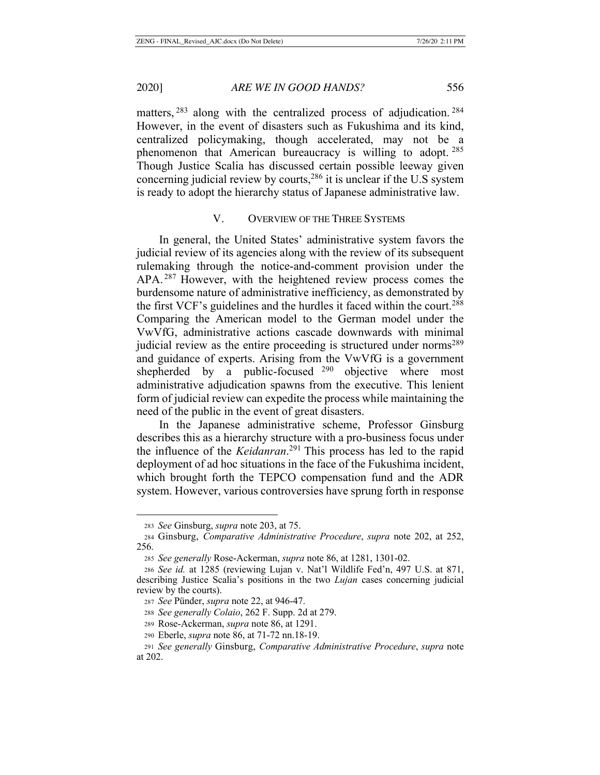matters, <sup>283</sup> along with the centralized process of adjudication. <sup>284</sup> However, in the event of disasters such as Fukushima and its kind, centralized policymaking, though accelerated, may not be a phenomenon that American bureaucracy is willing to adopt. <sup>285</sup> Though Justice Scalia has discussed certain possible leeway given concerning judicial review by courts,286 it is unclear if the U.S system is ready to adopt the hierarchy status of Japanese administrative law.

## V. OVERVIEW OF THE THREE SYSTEMS

In general, the United States' administrative system favors the judicial review of its agencies along with the review of its subsequent rulemaking through the notice-and-comment provision under the APA.<sup>287</sup> However, with the heightened review process comes the burdensome nature of administrative inefficiency, as demonstrated by the first VCF's guidelines and the hurdles it faced within the court.288 Comparing the American model to the German model under the VwVfG, administrative actions cascade downwards with minimal judicial review as the entire proceeding is structured under norms<sup>289</sup> and guidance of experts. Arising from the VwVfG is a government shepherded by a public-focused <sup>290</sup> objective where most administrative adjudication spawns from the executive. This lenient form of judicial review can expedite the process while maintaining the need of the public in the event of great disasters.

In the Japanese administrative scheme, Professor Ginsburg describes this as a hierarchy structure with a pro-business focus under the influence of the *Keidanran*. 291 This process has led to the rapid deployment of ad hoc situations in the face of the Fukushima incident, which brought forth the TEPCO compensation fund and the ADR system. However, various controversies have sprung forth in response

<sup>283</sup> *See* Ginsburg, *supra* note 203, at 75.

<sup>284</sup> Ginsburg, *Comparative Administrative Procedure*, *supra* note 202, at 252, 256.

<sup>285</sup> *See generally* Rose-Ackerman, *supra* note 86, at 1281, 1301-02.

<sup>286</sup> *See id.* at 1285 (reviewing Lujan v. Nat'l Wildlife Fed'n, 497 U.S. at 871, describing Justice Scalia's positions in the two *Lujan* cases concerning judicial review by the courts).

<sup>287</sup> *See* Pünder, *supra* note 22, at 946-47.

<sup>288</sup> *See generally Colaio*, 262 F. Supp. 2d at 279.

<sup>289</sup> Rose-Ackerman, *supra* note 86, at 1291.

<sup>290</sup> Eberle, *supra* note 86, at 71-72 nn.18-19.

<sup>291</sup> *See generally* Ginsburg, *Comparative Administrative Procedure*, *supra* note at 202.